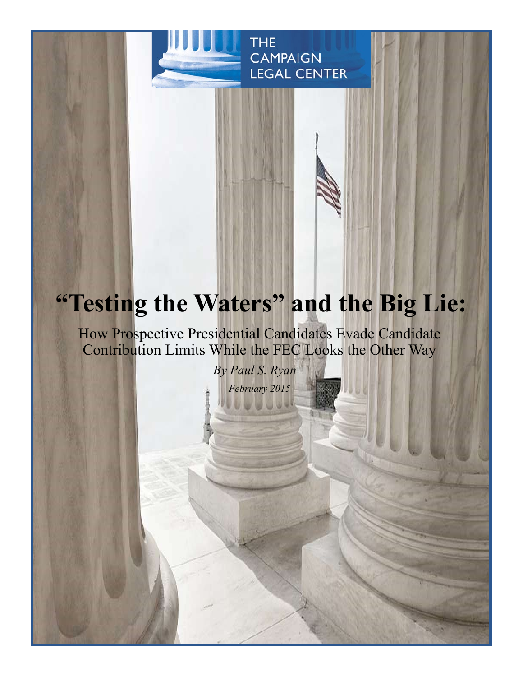

# **"Testing the Waters" and the Big Lie:**

How Prospective Presidential Candidates Evade Candidate Contribution Limits While the FEC Looks the Other Way

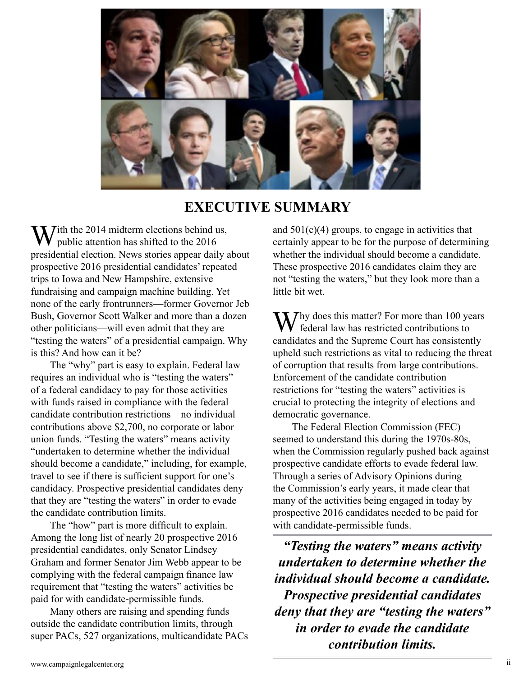

# **EXECUTIVE SUMMARY**

 $\sum$  *T*ith the 2014 midterm elections behind us, public attention has shifted to the 2016 presidential election. News stories appear daily about prospective 2016 presidential candidates' repeated trips to Iowa and New Hampshire, extensive fundraising and campaign machine building. Yet none of the early frontrunners—former Governor Jeb Bush, Governor Scott Walker and more than a dozen other politicians—will even admit that they are "testing the waters" of a presidential campaign. Why is this? And how can it be?

The "why" part is easy to explain. Federal law requires an individual who is "testing the waters" of a federal candidacy to pay for those activities with funds raised in compliance with the federal candidate contribution restrictions—no individual contributions above \$2,700, no corporate or labor union funds. "Testing the waters" means activity "undertaken to determine whether the individual should become a candidate," including, for example, travel to see if there is sufficient support for one's candidacy. Prospective presidential candidates deny that they are "testing the waters" in order to evade the candidate contribution limits.

The "how" part is more difficult to explain. Among the long list of nearly 20 prospective 2016 presidential candidates, only Senator Lindsey Graham and former Senator Jim Webb appear to be complying with the federal campaign finance law requirement that "testing the waters" activities be paid for with candidate-permissible funds.

Many others are raising and spending funds outside the candidate contribution limits, through super PACs, 527 organizations, multicandidate PACs and  $501(c)(4)$  groups, to engage in activities that certainly appear to be for the purpose of determining whether the individual should become a candidate. These prospective 2016 candidates claim they are not "testing the waters," but they look more than a little bit wet.

 $\sum$  *T* hy does this matter? For more than 100 years federal law has restricted contributions to candidates and the Supreme Court has consistently upheld such restrictions as vital to reducing the threat of corruption that results from large contributions. Enforcement of the candidate contribution restrictions for "testing the waters" activities is crucial to protecting the integrity of elections and democratic governance.

The Federal Election Commission (FEC) seemed to understand this during the 1970s-80s, when the Commission regularly pushed back against prospective candidate efforts to evade federal law. Through a series of Advisory Opinions during the Commission's early years, it made clear that many of the activities being engaged in today by prospective 2016 candidates needed to be paid for with candidate-permissible funds.

*"Testing the waters" means activity undertaken to determine whether the individual should become a candidate. Prospective presidential candidates deny that they are "testing the waters" in order to evade the candidate contribution limits.*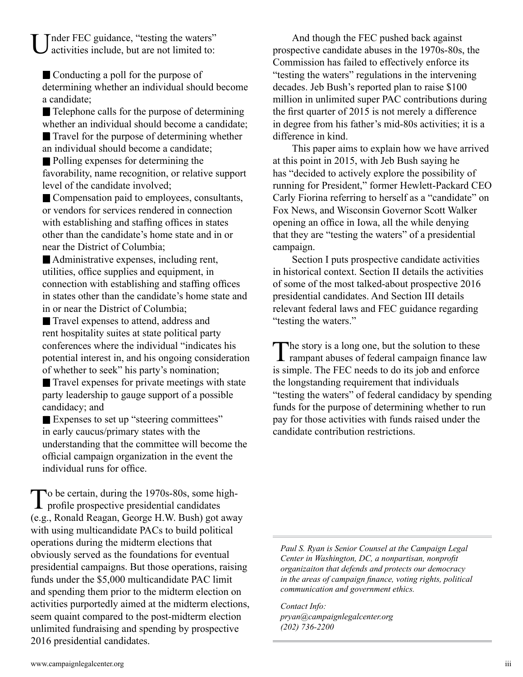Tnder FEC guidance, "testing the waters" activities include, but are not limited to:

 Conducting a poll for the purpose of determining whether an individual should become a candidate;

■ Telephone calls for the purpose of determining whether an individual should become a candidate; ■ Travel for the purpose of determining whether an individual should become a candidate;

 Polling expenses for determining the favorability, name recognition, or relative support level of the candidate involved;

■ Compensation paid to employees, consultants, or vendors for services rendered in connection with establishing and staffing offices in states other than the candidate's home state and in or near the District of Columbia;

 Administrative expenses, including rent, utilities, office supplies and equipment, in connection with establishing and staffing offices in states other than the candidate's home state and in or near the District of Columbia;

 Travel expenses to attend, address and rent hospitality suites at state political party conferences where the individual "indicates his potential interest in, and his ongoing consideration of whether to seek" his party's nomination;

 Travel expenses for private meetings with state party leadership to gauge support of a possible candidacy; and

 Expenses to set up "steering committees" in early caucus/primary states with the understanding that the committee will become the official campaign organization in the event the individual runs for office.

To be certain, during the 1970s-80s, some high- $\perp$  profile prospective presidential candidates (e.g., Ronald Reagan, George H.W. Bush) got away with using multicandidate PACs to build political operations during the midterm elections that obviously served as the foundations for eventual presidential campaigns. But those operations, raising funds under the \$5,000 multicandidate PAC limit and spending them prior to the midterm election on activities purportedly aimed at the midterm elections, seem quaint compared to the post-midterm election unlimited fundraising and spending by prospective 2016 presidential candidates.

And though the FEC pushed back against prospective candidate abuses in the 1970s-80s, the Commission has failed to effectively enforce its "testing the waters" regulations in the intervening decades. Jeb Bush's reported plan to raise \$100 million in unlimited super PAC contributions during the first quarter of 2015 is not merely a difference in degree from his father's mid-80s activities; it is a difference in kind.

This paper aims to explain how we have arrived at this point in 2015, with Jeb Bush saying he has "decided to actively explore the possibility of running for President," former Hewlett-Packard CEO Carly Fiorina referring to herself as a "candidate" on Fox News, and Wisconsin Governor Scott Walker opening an office in Iowa, all the while denying that they are "testing the waters" of a presidential campaign.

Section I puts prospective candidate activities in historical context. Section II details the activities of some of the most talked-about prospective 2016 presidential candidates. And Section III details relevant federal laws and FEC guidance regarding "testing the waters."

The story is a long one, but the solution to these<br>rampant abuses of federal campaign finance law is simple. The FEC needs to do its job and enforce the longstanding requirement that individuals "testing the waters" of federal candidacy by spending funds for the purpose of determining whether to run pay for those activities with funds raised under the candidate contribution restrictions.

*Paul S. Ryan is Senior Counsel at the Campaign Legal Center in Washington, DC, a nonpartisan, nonprofit organizaiton that defends and protects our democracy in the areas of campaign finance, voting rights, political communication and government ethics.* 

*Contact Info: pryan@campaignlegalcenter.org (202) 736-2200*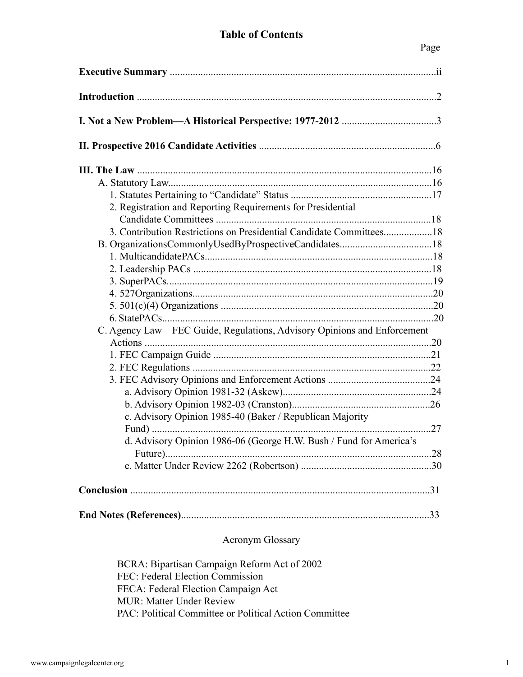## **Table of Contents**

| 2. Registration and Reporting Requirements for Presidential             |  |
|-------------------------------------------------------------------------|--|
|                                                                         |  |
|                                                                         |  |
|                                                                         |  |
|                                                                         |  |
|                                                                         |  |
|                                                                         |  |
|                                                                         |  |
|                                                                         |  |
|                                                                         |  |
| C. Agency Law—FEC Guide, Regulations, Advisory Opinions and Enforcement |  |
|                                                                         |  |
|                                                                         |  |
|                                                                         |  |
|                                                                         |  |
|                                                                         |  |
|                                                                         |  |
| c. Advisory Opinion 1985-40 (Baker / Republican Majority                |  |
|                                                                         |  |
| d. Advisory Opinion 1986-06 (George H.W. Bush / Fund for America's      |  |
|                                                                         |  |
|                                                                         |  |
|                                                                         |  |
|                                                                         |  |
|                                                                         |  |

## Acronym Glossary

BCRA: Bipartisan Campaign Reform Act of 2002 FEC: Federal Election Commission FECA: Federal Election Campaign Act MUR: Matter Under Review PAC: Political Committee or Political Action Committee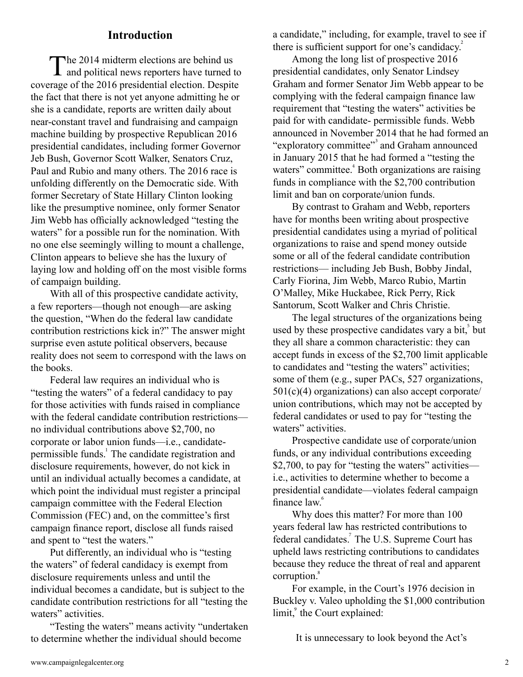## **Introduction**

The 2014 midterm elections are behind us<br>and political news reporters have turned to coverage of the 2016 presidential election. Despite the fact that there is not yet anyone admitting he or she is a candidate, reports are written daily about near-constant travel and fundraising and campaign machine building by prospective Republican 2016 presidential candidates, including former Governor Jeb Bush, Governor Scott Walker, Senators Cruz, Paul and Rubio and many others. The 2016 race is unfolding differently on the Democratic side. With former Secretary of State Hillary Clinton looking like the presumptive nominee, only former Senator Jim Webb has officially acknowledged "testing the waters" for a possible run for the nomination. With no one else seemingly willing to mount a challenge, Clinton appears to believe she has the luxury of laying low and holding off on the most visible forms of campaign building.

With all of this prospective candidate activity, a few reporters—though not enough—are asking the question, "When do the federal law candidate contribution restrictions kick in?" The answer might surprise even astute political observers, because reality does not seem to correspond with the laws on the books.

Federal law requires an individual who is "testing the waters" of a federal candidacy to pay for those activities with funds raised in compliance with the federal candidate contribution restrictions no individual contributions above \$2,700, no corporate or labor union funds—i.e., candidatepermissible funds.<sup>1</sup> The candidate registration and disclosure requirements, however, do not kick in until an individual actually becomes a candidate, at which point the individual must register a principal campaign committee with the Federal Election Commission (FEC) and, on the committee's first campaign finance report, disclose all funds raised and spent to "test the waters."

Put differently, an individual who is "testing the waters" of federal candidacy is exempt from disclosure requirements unless and until the individual becomes a candidate, but is subject to the candidate contribution restrictions for all "testing the waters" activities.

"Testing the waters" means activity "undertaken to determine whether the individual should become

a candidate," including, for example, travel to see if there is sufficient support for one's candidacy. $\overline{a}$ 

Among the long list of prospective 2016 presidential candidates, only Senator Lindsey Graham and former Senator Jim Webb appear to be complying with the federal campaign finance law requirement that "testing the waters" activities be paid for with candidate- permissible funds. Webb announced in November 2014 that he had formed an "exploratory committee"<sup>3</sup> and Graham announced in January 2015 that he had formed a "testing the waters" committee.<sup>4</sup> Both organizations are raising funds in compliance with the \$2,700 contribution limit and ban on corporate/union funds.

By contrast to Graham and Webb, reporters have for months been writing about prospective presidential candidates using a myriad of political organizations to raise and spend money outside some or all of the federal candidate contribution restrictions— including Jeb Bush, Bobby Jindal, Carly Fiorina, Jim Webb, Marco Rubio, Martin O'Malley, Mike Huckabee, Rick Perry, Rick Santorum, Scott Walker and Chris Christie.

The legal structures of the organizations being used by these prospective candidates vary a bit, but they all share a common characteristic: they can accept funds in excess of the \$2,700 limit applicable to candidates and "testing the waters" activities; some of them (e.g., super PACs, 527 organizations, 501(c)(4) organizations) can also accept corporate/ union contributions, which may not be accepted by federal candidates or used to pay for "testing the waters" activities.

Prospective candidate use of corporate/union funds, or any individual contributions exceeding \$2,700, to pay for "testing the waters" activities i.e., activities to determine whether to become a presidential candidate—violates federal campaign finance law.<sup>6</sup>

Why does this matter? For more than 100 years federal law has restricted contributions to federal candidates.<sup>7</sup> The U.S. Supreme Court has upheld laws restricting contributions to candidates because they reduce the threat of real and apparent corruption.<sup>8</sup>

For example, in the Court's 1976 decision in Buckley v. Valeo upholding the \$1,000 contribution limit,<sup>9</sup> the Court explained:

It is unnecessary to look beyond the Act's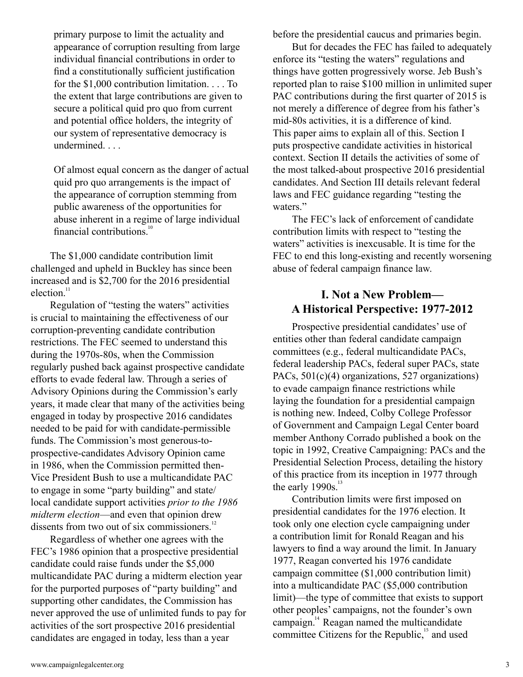primary purpose to limit the actuality and appearance of corruption resulting from large individual financial contributions in order to find a constitutionally sufficient justification for the \$1,000 contribution limitation. . . . To the extent that large contributions are given to secure a political quid pro quo from current and potential office holders, the integrity of our system of representative democracy is undermined. . . .

Of almost equal concern as the danger of actual quid pro quo arrangements is the impact of the appearance of corruption stemming from public awareness of the opportunities for abuse inherent in a regime of large individual financial contributions.<sup>10</sup>

The \$1,000 candidate contribution limit challenged and upheld in Buckley has since been increased and is \$2,700 for the 2016 presidential election.<sup>11</sup>

Regulation of "testing the waters" activities is crucial to maintaining the effectiveness of our corruption-preventing candidate contribution restrictions. The FEC seemed to understand this during the 1970s-80s, when the Commission regularly pushed back against prospective candidate efforts to evade federal law. Through a series of Advisory Opinions during the Commission's early years, it made clear that many of the activities being engaged in today by prospective 2016 candidates needed to be paid for with candidate-permissible funds. The Commission's most generous-toprospective-candidates Advisory Opinion came in 1986, when the Commission permitted then-Vice President Bush to use a multicandidate PAC to engage in some "party building" and state/ local candidate support activities *prior to the 1986 midterm election*—and even that opinion drew dissents from two out of six commissioners.<sup>12</sup>

Regardless of whether one agrees with the FEC's 1986 opinion that a prospective presidential candidate could raise funds under the \$5,000 multicandidate PAC during a midterm election year for the purported purposes of "party building" and supporting other candidates, the Commission has never approved the use of unlimited funds to pay for activities of the sort prospective 2016 presidential candidates are engaged in today, less than a year

before the presidential caucus and primaries begin.

But for decades the FEC has failed to adequately enforce its "testing the waters" regulations and things have gotten progressively worse. Jeb Bush's reported plan to raise \$100 million in unlimited super PAC contributions during the first quarter of 2015 is not merely a difference of degree from his father's mid-80s activities, it is a difference of kind. This paper aims to explain all of this. Section I puts prospective candidate activities in historical context. Section II details the activities of some of the most talked-about prospective 2016 presidential candidates. And Section III details relevant federal laws and FEC guidance regarding "testing the waters."

The FEC's lack of enforcement of candidate contribution limits with respect to "testing the waters" activities is inexcusable. It is time for the FEC to end this long-existing and recently worsening abuse of federal campaign finance law.

# **I. Not a New Problem— A Historical Perspective: 1977-2012**

Prospective presidential candidates' use of entities other than federal candidate campaign committees (e.g., federal multicandidate PACs, federal leadership PACs, federal super PACs, state PACs, 501(c)(4) organizations, 527 organizations) to evade campaign finance restrictions while laying the foundation for a presidential campaign is nothing new. Indeed, Colby College Professor of Government and Campaign Legal Center board member Anthony Corrado published a book on the topic in 1992, Creative Campaigning: PACs and the Presidential Selection Process, detailing the history of this practice from its inception in 1977 through the early  $1990s$ .<sup>13</sup>

Contribution limits were first imposed on presidential candidates for the 1976 election. It took only one election cycle campaigning under a contribution limit for Ronald Reagan and his lawyers to find a way around the limit. In January 1977, Reagan converted his 1976 candidate campaign committee (\$1,000 contribution limit) into a multicandidate PAC (\$5,000 contribution limit)—the type of committee that exists to support other peoples' campaigns, not the founder's own campaign. $14$  Reagan named the multicandidate committee Citizens for the Republic, $15$  and used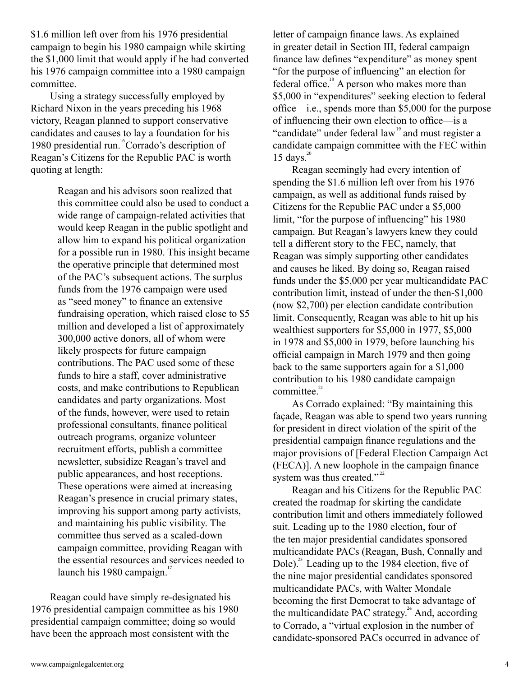\$1.6 million left over from his 1976 presidential campaign to begin his 1980 campaign while skirting the \$1,000 limit that would apply if he had converted his 1976 campaign committee into a 1980 campaign committee.

Using a strategy successfully employed by Richard Nixon in the years preceding his 1968 victory, Reagan planned to support conservative candidates and causes to lay a foundation for his 1980 presidential run.<sup>16</sup> Corrado's description of Reagan's Citizens for the Republic PAC is worth quoting at length:

> Reagan and his advisors soon realized that this committee could also be used to conduct a wide range of campaign-related activities that would keep Reagan in the public spotlight and allow him to expand his political organization for a possible run in 1980. This insight became the operative principle that determined most of the PAC's subsequent actions. The surplus funds from the 1976 campaign were used as "seed money" to finance an extensive fundraising operation, which raised close to \$5 million and developed a list of approximately 300,000 active donors, all of whom were likely prospects for future campaign contributions. The PAC used some of these funds to hire a staff, cover administrative costs, and make contributions to Republican candidates and party organizations. Most of the funds, however, were used to retain professional consultants, finance political outreach programs, organize volunteer recruitment efforts, publish a committee newsletter, subsidize Reagan's travel and public appearances, and host receptions. These operations were aimed at increasing Reagan's presence in crucial primary states, improving his support among party activists, and maintaining his public visibility. The committee thus served as a scaled-down campaign committee, providing Reagan with the essential resources and services needed to launch his 1980 campaign.<sup>17</sup>

Reagan could have simply re-designated his 1976 presidential campaign committee as his 1980 presidential campaign committee; doing so would have been the approach most consistent with the

letter of campaign finance laws. As explained in greater detail in Section III, federal campaign finance law defines "expenditure" as money spent "for the purpose of influencing" an election for federal office. $^{\text{18}}$  A person who makes more than \$5,000 in "expenditures" seeking election to federal office—i.e., spends more than \$5,000 for the purpose of influencing their own election to office—is a "candidate" under federal law<sup>19</sup> and must register a candidate campaign committee with the FEC within  $15 \text{ days.}^{20}$ 

Reagan seemingly had every intention of spending the \$1.6 million left over from his 1976 campaign, as well as additional funds raised by Citizens for the Republic PAC under a \$5,000 limit, "for the purpose of influencing" his 1980 campaign. But Reagan's lawyers knew they could tell a different story to the FEC, namely, that Reagan was simply supporting other candidates and causes he liked. By doing so, Reagan raised funds under the \$5,000 per year multicandidate PAC contribution limit, instead of under the then-\$1,000 (now \$2,700) per election candidate contribution limit. Consequently, Reagan was able to hit up his wealthiest supporters for \$5,000 in 1977, \$5,000 in 1978 and \$5,000 in 1979, before launching his official campaign in March 1979 and then going back to the same supporters again for a \$1,000 contribution to his 1980 candidate campaign committee.<sup>21</sup>

As Corrado explained: "By maintaining this façade, Reagan was able to spend two years running for president in direct violation of the spirit of the presidential campaign finance regulations and the major provisions of [Federal Election Campaign Act (FECA)]. A new loophole in the campaign finance system was thus created."<sup>22</sup>

Reagan and his Citizens for the Republic PAC created the roadmap for skirting the candidate contribution limit and others immediately followed suit. Leading up to the 1980 election, four of the ten major presidential candidates sponsored multicandidate PACs (Reagan, Bush, Connally and Dole).<sup>23</sup> Leading up to the 1984 election, five of the nine major presidential candidates sponsored multicandidate PACs, with Walter Mondale becoming the first Democrat to take advantage of the multicandidate PAC strategy. $^{24}$  And, according to Corrado, a "virtual explosion in the number of candidate-sponsored PACs occurred in advance of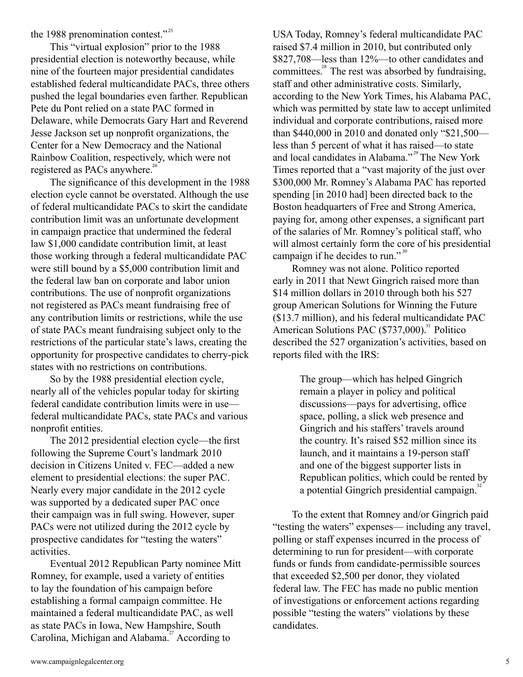the 1988 prenomination contest."<sup>25</sup>

This "virtual explosion" prior to the 1988 presidential election is noteworthy because, while nine of the fourteen major presidential candidates established federal multicandidate PACs, three others pushed the legal boundaries even farther. Republican Pete du Pont relied on a state PAC formed in Delaware, while Democrats Gary Hart and Reverend Jesse Jackson set up nonprofit organizations, the Center for a New Democracy and the National Rainbow Coalition, respectively, which were not registered as PACs anywhere.<sup>26</sup>

The significance of this development in the 1988 election cycle cannot be overstated. Although the use of federal multicandidate PACs to skirt the candidate contribution limit was an unfortunate development in campaign practice that undermined the federal law \$1,000 candidate contribution limit, at least those working through a federal multicandidate PAC were still bound by a \$5,000 contribution limit and the federal law ban on corporate and labor union contributions. The use of nonprofit organizations not registered as PACs meant fundraising free of any contribution limits or restrictions, while the use of state PACs meant fundraising subject only to the restrictions of the particular state's laws, creating the opportunity for prospective candidates to cherry-pick states with no restrictions on contributions.

So by the 1988 presidential election cycle, nearly all of the vehicles popular today for skirting federal candidate contribution limits were in use federal multicandidate PACs, state PACs and various nonprofit entities.

The 2012 presidential election cycle—the first following the Supreme Court's landmark 2010 decision in Citizens United v. FEC—added a new element to presidential elections: the super PAC. Nearly every major candidate in the 2012 cycle was supported by a dedicated super PAC once their campaign was in full swing. However, super PACs were not utilized during the 2012 cycle by prospective candidates for "testing the waters" activities.

Eventual 2012 Republican Party nominee Mitt Romney, for example, used a variety of entities to lay the foundation of his campaign before establishing a formal campaign committee. He maintained a federal multicandidate PAC, as well as state PACs in Iowa, New Hampshire, South Carolina, Michigan and Alabama.<sup>27</sup> According to

USA Today, Romney's federal multicandidate PAC raised \$7.4 million in 2010, but contributed only \$827,708—less than 12%—to other candidates and committees. $^{28}$  The rest was absorbed by fundraising, staff and other administrative costs. Similarly, according to the New York Times, his Alabama PAC, which was permitted by state law to accept unlimited individual and corporate contributions, raised more than \$440,000 in 2010 and donated only "\$21,500 less than 5 percent of what it has raised—to state and local candidates in Alabama."<sup>29</sup> The New York Times reported that a "vast majority of the just over \$300,000 Mr. Romney's Alabama PAC has reported spending [in 2010 had] been directed back to the Boston headquarters of Free and Strong America, paying for, among other expenses, a significant part of the salaries of Mr. Romney's political staff, who will almost certainly form the core of his presidential campaign if he decides to run."<sup>30</sup>

Romney was not alone. Politico reported early in 2011 that Newt Gingrich raised more than \$14 million dollars in 2010 through both his 527 group American Solutions for Winning the Future (\$13.7 million), and his federal multicandidate PAC American Solutions PAC (\$737,000).<sup>31</sup> Politico described the 527 organization's activities, based on reports filed with the IRS:

> The group—which has helped Gingrich remain a player in policy and political discussions—pays for advertising, office space, polling, a slick web presence and Gingrich and his staffers' travels around the country. It's raised \$52 million since its launch, and it maintains a 19-person staff and one of the biggest supporter lists in Republican politics, which could be rented by a potential Gingrich presidential campaign.<sup>32</sup>

To the extent that Romney and/or Gingrich paid "testing the waters" expenses— including any travel, polling or staff expenses incurred in the process of determining to run for president—with corporate funds or funds from candidate-permissible sources that exceeded \$2,500 per donor, they violated federal law. The FEC has made no public mention of investigations or enforcement actions regarding possible "testing the waters" violations by these candidates.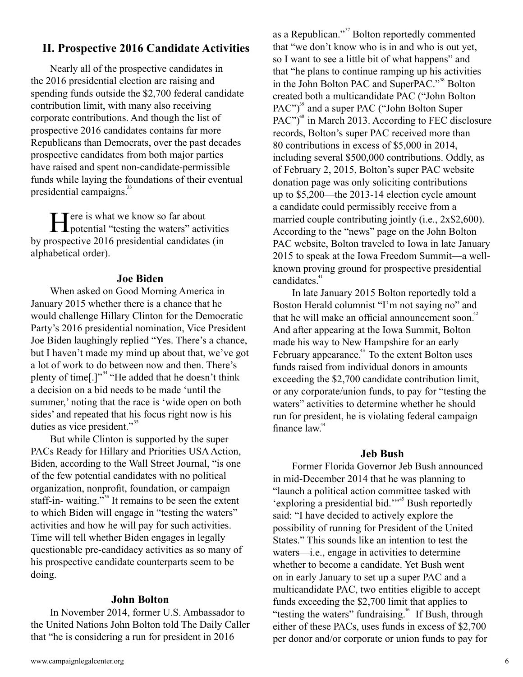# **II. Prospective 2016 Candidate Activities**

Nearly all of the prospective candidates in the 2016 presidential election are raising and spending funds outside the \$2,700 federal candidate contribution limit, with many also receiving corporate contributions. And though the list of prospective 2016 candidates contains far more Republicans than Democrats, over the past decades prospective candidates from both major parties have raised and spent non-candidate-permissible funds while laying the foundations of their eventual presidential campaigns.<sup>33</sup>

Here is what we know so far about<br>potential "testing the waters" activities by prospective 2016 presidential candidates (in alphabetical order).

## **Joe Biden**

When asked on Good Morning America in January 2015 whether there is a chance that he would challenge Hillary Clinton for the Democratic Party's 2016 presidential nomination, Vice President Joe Biden laughingly replied "Yes. There's a chance, but I haven't made my mind up about that, we've got a lot of work to do between now and then. There's plenty of time[.]"<sup>34</sup> "He added that he doesn't think a decision on a bid needs to be made 'until the summer,' noting that the race is 'wide open on both sides' and repeated that his focus right now is his duties as vice president."<sup>35</sup>

But while Clinton is supported by the super PACs Ready for Hillary and Priorities USA Action, Biden, according to the Wall Street Journal, "is one of the few potential candidates with no political organization, nonprofit, foundation, or campaign staff-in-waiting."<sup>36</sup> It remains to be seen the extent to which Biden will engage in "testing the waters" activities and how he will pay for such activities. Time will tell whether Biden engages in legally questionable pre-candidacy activities as so many of his prospective candidate counterparts seem to be doing.

## **John Bolton**

In November 2014, former U.S. Ambassador to the United Nations John Bolton told The Daily Caller that "he is considering a run for president in 2016

as a Republican."<sup>37</sup> Bolton reportedly commented that "we don't know who is in and who is out yet, so I want to see a little bit of what happens" and that "he plans to continue ramping up his activities in the John Bolton PAC and SuperPAC."<sup>38</sup> Bolton created both a multicandidate PAC ("John Bolton PAC")<sup>39</sup> and a super PAC ("John Bolton Super PAC")<sup>40</sup> in March 2013. According to FEC disclosure records, Bolton's super PAC received more than 80 contributions in excess of \$5,000 in 2014, including several \$500,000 contributions. Oddly, as of February 2, 2015, Bolton's super PAC website donation page was only soliciting contributions up to \$5,200—the 2013-14 election cycle amount a candidate could permissibly receive from a married couple contributing jointly (i.e., 2x\$2,600). According to the "news" page on the John Bolton PAC website, Bolton traveled to Iowa in late January 2015 to speak at the Iowa Freedom Summit—a wellknown proving ground for prospective presidential candidates.<sup>41</sup>

In late January 2015 Bolton reportedly told a Boston Herald columnist "I'm not saying no" and that he will make an official announcement soon.<sup>42</sup> And after appearing at the Iowa Summit, Bolton made his way to New Hampshire for an early February appearance.<sup>43</sup> To the extent Bolton uses funds raised from individual donors in amounts exceeding the \$2,700 candidate contribution limit, or any corporate/union funds, to pay for "testing the waters" activities to determine whether he should run for president, he is violating federal campaign finance law.<sup>44</sup>

## **Jeb Bush**

Former Florida Governor Jeb Bush announced in mid-December 2014 that he was planning to "launch a political action committee tasked with 'exploring a presidential bid."<sup>45</sup> Bush reportedly said: "I have decided to actively explore the possibility of running for President of the United States." This sounds like an intention to test the waters—i.e., engage in activities to determine whether to become a candidate. Yet Bush went on in early January to set up a super PAC and a multicandidate PAC, two entities eligible to accept funds exceeding the \$2,700 limit that applies to "testing the waters" fundraising.<sup>46</sup> If Bush, through either of these PACs, uses funds in excess of \$2,700 per donor and/or corporate or union funds to pay for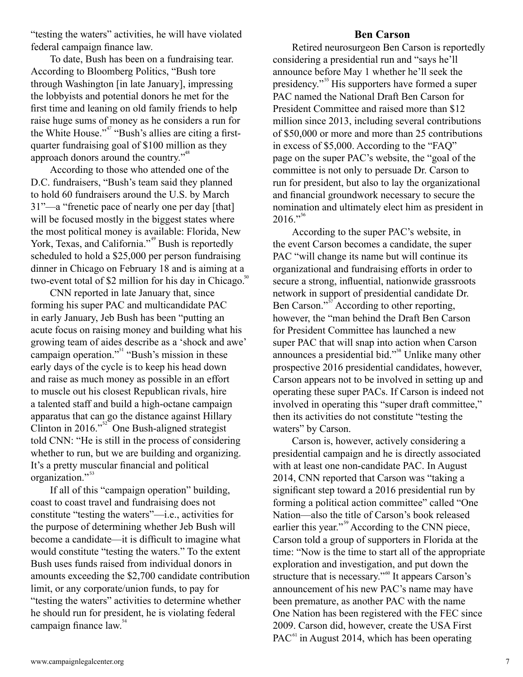"testing the waters" activities, he will have violated federal campaign finance law.

To date, Bush has been on a fundraising tear. According to Bloomberg Politics, "Bush tore through Washington [in late January], impressing the lobbyists and potential donors he met for the first time and leaning on old family friends to help raise huge sums of money as he considers a run for the White House."<sup>47</sup> "Bush's allies are citing a firstquarter fundraising goal of \$100 million as they approach donors around the country."<sup>48</sup>

According to those who attended one of the D.C. fundraisers, "Bush's team said they planned to hold 60 fundraisers around the U.S. by March 31"—a "frenetic pace of nearly one per day [that] will be focused mostly in the biggest states where the most political money is available: Florida, New York, Texas, and California."<sup>49</sup> Bush is reportedly scheduled to hold a \$25,000 per person fundraising dinner in Chicago on February 18 and is aiming at a two-event total of \$2 million for his day in Chicago.<sup>50</sup>

CNN reported in late January that, since forming his super PAC and multicandidate PAC in early January, Jeb Bush has been "putting an acute focus on raising money and building what his growing team of aides describe as a 'shock and awe' campaign operation."<sup>51</sup> "Bush's mission in these early days of the cycle is to keep his head down and raise as much money as possible in an effort to muscle out his closest Republican rivals, hire a talented staff and build a high-octane campaign apparatus that can go the distance against Hillary Clinton in 2016." $52^{\circ}$  One Bush-aligned strategist told CNN: "He is still in the process of considering whether to run, but we are building and organizing. It's a pretty muscular financial and political organization." 53

If all of this "campaign operation" building, coast to coast travel and fundraising does not constitute "testing the waters"—i.e., activities for the purpose of determining whether Jeb Bush will become a candidate—it is difficult to imagine what would constitute "testing the waters." To the extent Bush uses funds raised from individual donors in amounts exceeding the \$2,700 candidate contribution limit, or any corporate/union funds, to pay for "testing the waters" activities to determine whether he should run for president, he is violating federal campaign finance law.<sup>54</sup>

## **Ben Carson**

Retired neurosurgeon Ben Carson is reportedly considering a presidential run and "says he'll announce before May 1 whether he'll seek the presidency."<sup>55</sup> His supporters have formed a super PAC named the National Draft Ben Carson for President Committee and raised more than \$12 million since 2013, including several contributions of \$50,000 or more and more than 25 contributions in excess of \$5,000. According to the "FAQ" page on the super PAC's website, the "goal of the committee is not only to persuade Dr. Carson to run for president, but also to lay the organizational and financial groundwork necessary to secure the nomination and ultimately elect him as president in  $2016."$ <sup>56</sup>

According to the super PAC's website, in the event Carson becomes a candidate, the super PAC "will change its name but will continue its organizational and fundraising efforts in order to secure a strong, influential, nationwide grassroots network in support of presidential candidate Dr. Ben Carson."<sup>57</sup> According to other reporting, however, the "man behind the Draft Ben Carson for President Committee has launched a new super PAC that will snap into action when Carson announces a presidential bid."<sup>58</sup> Unlike many other prospective 2016 presidential candidates, however, Carson appears not to be involved in setting up and operating these super PACs. If Carson is indeed not involved in operating this "super draft committee," then its activities do not constitute "testing the waters" by Carson.

Carson is, however, actively considering a presidential campaign and he is directly associated with at least one non-candidate PAC. In August 2014, CNN reported that Carson was "taking a significant step toward a 2016 presidential run by forming a political action committee" called "One Nation—also the title of Carson's book released earlier this year."<sup>59</sup> According to the CNN piece, Carson told a group of supporters in Florida at the time: "Now is the time to start all of the appropriate exploration and investigation, and put down the structure that is necessary."<sup>60</sup> It appears Carson's announcement of his new PAC's name may have been premature, as another PAC with the name One Nation has been registered with the FEC since 2009. Carson did, however, create the USA First PAC $^{61}$  in August 2014, which has been operating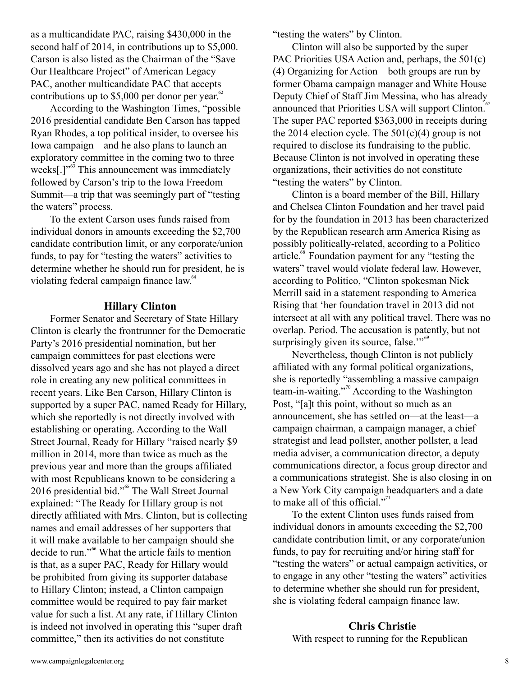as a multicandidate PAC, raising \$430,000 in the second half of 2014, in contributions up to \$5,000. Carson is also listed as the Chairman of the "Save Our Healthcare Project" of American Legacy PAC, another multicandidate PAC that accepts contributions up to \$5,000 per donor per year. $62$ 

According to the Washington Times, "possible 2016 presidential candidate Ben Carson has tapped Ryan Rhodes, a top political insider, to oversee his Iowa campaign—and he also plans to launch an exploratory committee in the coming two to three weeks[.]"<sup>63</sup> This announcement was immediately followed by Carson's trip to the Iowa Freedom Summit—a trip that was seemingly part of "testing the waters" process.

To the extent Carson uses funds raised from individual donors in amounts exceeding the \$2,700 candidate contribution limit, or any corporate/union funds, to pay for "testing the waters" activities to determine whether he should run for president, he is violating federal campaign finance law.<sup>64</sup>

#### **Hillary Clinton**

Former Senator and Secretary of State Hillary Clinton is clearly the frontrunner for the Democratic Party's 2016 presidential nomination, but her campaign committees for past elections were dissolved years ago and she has not played a direct role in creating any new political committees in recent years. Like Ben Carson, Hillary Clinton is supported by a super PAC, named Ready for Hillary, which she reportedly is not directly involved with establishing or operating. According to the Wall Street Journal, Ready for Hillary "raised nearly \$9 million in 2014, more than twice as much as the previous year and more than the groups affiliated with most Republicans known to be considering a 2016 presidential bid."<sup>65</sup> The Wall Street Journal explained: "The Ready for Hillary group is not directly affiliated with Mrs. Clinton, but is collecting names and email addresses of her supporters that it will make available to her campaign should she decide to run."<sup>66</sup> What the article fails to mention is that, as a super PAC, Ready for Hillary would be prohibited from giving its supporter database to Hillary Clinton; instead, a Clinton campaign committee would be required to pay fair market value for such a list. At any rate, if Hillary Clinton is indeed not involved in operating this "super draft committee," then its activities do not constitute

"testing the waters" by Clinton.

Clinton will also be supported by the super PAC Priorities USA Action and, perhaps, the 501(c) (4) Organizing for Action—both groups are run by former Obama campaign manager and White House Deputy Chief of Staff Jim Messina, who has already announced that Priorities USA will support Clinton.<sup>67</sup> The super PAC reported \$363,000 in receipts during the 2014 election cycle. The  $501(c)(4)$  group is not required to disclose its fundraising to the public. Because Clinton is not involved in operating these organizations, their activities do not constitute "testing the waters" by Clinton.

Clinton is a board member of the Bill, Hillary and Chelsea Clinton Foundation and her travel paid for by the foundation in 2013 has been characterized by the Republican research arm America Rising as possibly politically-related, according to a Politico article.<sup>68</sup> Foundation payment for any "testing the waters" travel would violate federal law. However, according to Politico, "Clinton spokesman Nick Merrill said in a statement responding to America Rising that 'her foundation travel in 2013 did not intersect at all with any political travel. There was no overlap. Period. The accusation is patently, but not surprisingly given its source, false."<sup>59</sup>

Nevertheless, though Clinton is not publicly affiliated with any formal political organizations, she is reportedly "assembling a massive campaign team-in-waiting."<sup>70</sup> According to the Washington Post, "[a]t this point, without so much as an announcement, she has settled on—at the least—a campaign chairman, a campaign manager, a chief strategist and lead pollster, another pollster, a lead media adviser, a communication director, a deputy communications director, a focus group director and a communications strategist. She is also closing in on a New York City campaign headquarters and a date to make all of this official."<sup> $71$ </sup>

To the extent Clinton uses funds raised from individual donors in amounts exceeding the \$2,700 candidate contribution limit, or any corporate/union funds, to pay for recruiting and/or hiring staff for "testing the waters" or actual campaign activities, or to engage in any other "testing the waters" activities to determine whether she should run for president, she is violating federal campaign finance law.

## **Chris Christie** With respect to running for the Republican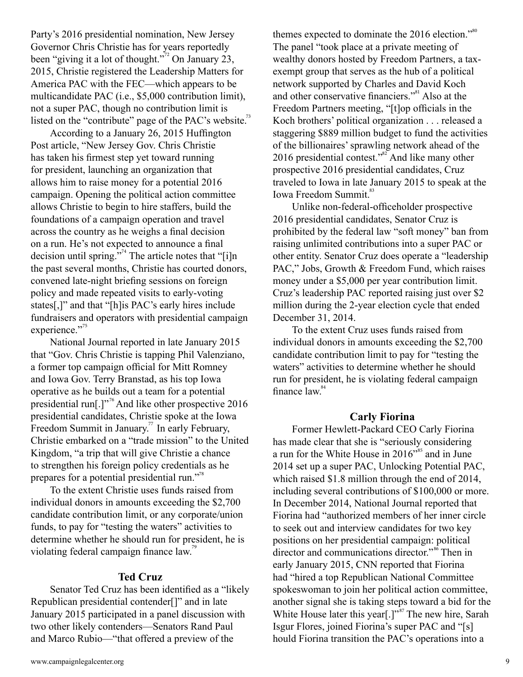Party's 2016 presidential nomination, New Jersey Governor Chris Christie has for years reportedly been "giving it a lot of thought."<sup> $\frac{7}{2}$ </sup> On January 23, 2015, Christie registered the Leadership Matters for America PAC with the FEC—which appears to be multicandidate PAC (i.e., \$5,000 contribution limit), not a super PAC, though no contribution limit is listed on the "contribute" page of the PAC's website.<sup>73</sup>

According to a January 26, 2015 Huffington Post article, "New Jersey Gov. Chris Christie has taken his firmest step yet toward running for president, launching an organization that allows him to raise money for a potential 2016 campaign. Opening the political action committee allows Christie to begin to hire staffers, build the foundations of a campaign operation and travel across the country as he weighs a final decision on a run. He's not expected to announce a final decision until spring.<sup>774</sup> The article notes that "[i]n the past several months, Christie has courted donors, convened late-night briefing sessions on foreign policy and made repeated visits to early-voting states[,]" and that "[h]is PAC's early hires include fundraisers and operators with presidential campaign experience."<sup>75</sup>

National Journal reported in late January 2015 that "Gov. Chris Christie is tapping Phil Valenziano, a former top campaign official for Mitt Romney and Iowa Gov. Terry Branstad, as his top Iowa operative as he builds out a team for a potential presidential run[.]"<sup>76</sup> And like other prospective 2016 presidential candidates, Christie spoke at the Iowa Freedom Summit in January.<sup>77</sup> In early February, Christie embarked on a "trade mission" to the United Kingdom, "a trip that will give Christie a chance to strengthen his foreign policy credentials as he prepares for a potential presidential run."<sup>78</sup>

To the extent Christie uses funds raised from individual donors in amounts exceeding the \$2,700 candidate contribution limit, or any corporate/union funds, to pay for "testing the waters" activities to determine whether he should run for president, he is violating federal campaign finance law.<sup>79</sup>

## **Ted Cruz**

Senator Ted Cruz has been identified as a "likely Republican presidential contender[]" and in late January 2015 participated in a panel discussion with two other likely contenders—Senators Rand Paul and Marco Rubio—"that offered a preview of the

themes expected to dominate the  $2016$  election."<sup>80</sup> The panel "took place at a private meeting of wealthy donors hosted by Freedom Partners, a taxexempt group that serves as the hub of a political network supported by Charles and David Koch and other conservative financiers."<sup>81</sup> Also at the Freedom Partners meeting, "[t]op officials in the Koch brothers' political organization . . . released a staggering \$889 million budget to fund the activities of the billionaires' sprawling network ahead of the 2016 presidential contest." $^{32}$  And like many other prospective 2016 presidential candidates, Cruz traveled to Iowa in late January 2015 to speak at the Iowa Freedom Summit.<sup>83</sup>

Unlike non-federal-officeholder prospective 2016 presidential candidates, Senator Cruz is prohibited by the federal law "soft money" ban from raising unlimited contributions into a super PAC or other entity. Senator Cruz does operate a "leadership PAC," Jobs, Growth & Freedom Fund, which raises money under a \$5,000 per year contribution limit. Cruz's leadership PAC reported raising just over \$2 million during the 2-year election cycle that ended December 31, 2014.

To the extent Cruz uses funds raised from individual donors in amounts exceeding the \$2,700 candidate contribution limit to pay for "testing the waters" activities to determine whether he should run for president, he is violating federal campaign finance law.<sup>84</sup>

#### **Carly Fiorina**

Former Hewlett-Packard CEO Carly Fiorina has made clear that she is "seriously considering a run for the White House in  $2016^{\prime85}$  and in June 2014 set up a super PAC, Unlocking Potential PAC, which raised \$1.8 million through the end of 2014, including several contributions of \$100,000 or more. In December 2014, National Journal reported that Fiorina had "authorized members of her inner circle to seek out and interview candidates for two key positions on her presidential campaign: political director and communications director."<sup>86</sup> Then in early January 2015, CNN reported that Fiorina had "hired a top Republican National Committee spokeswoman to join her political action committee, another signal she is taking steps toward a bid for the White House later this year[.]" $\frac{87}{3}$  The new hire, Sarah Isgur Flores, joined Fiorina's super PAC and "[s] hould Fiorina transition the PAC's operations into a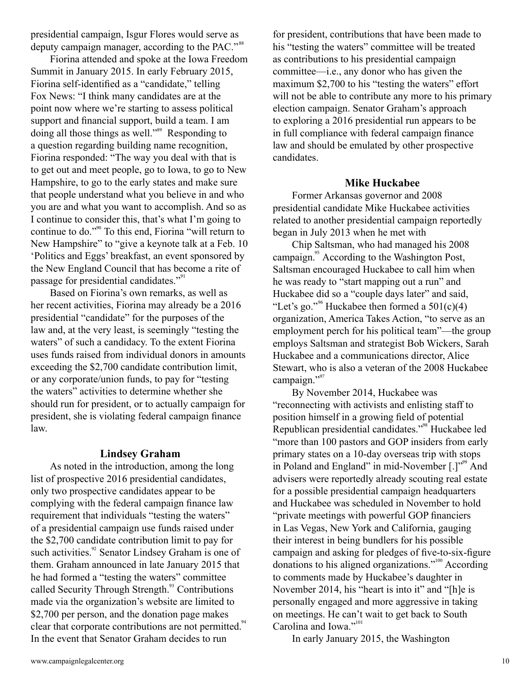presidential campaign, Isgur Flores would serve as deputy campaign manager, according to the PAC."<sup>88</sup>

Fiorina attended and spoke at the Iowa Freedom Summit in January 2015. In early February 2015, Fiorina self-identified as a "candidate," telling Fox News: "I think many candidates are at the point now where we're starting to assess political support and financial support, build a team. I am doing all those things as well."<sup>89</sup> Responding to a question regarding building name recognition, Fiorina responded: "The way you deal with that is to get out and meet people, go to Iowa, to go to New Hampshire, to go to the early states and make sure that people understand what you believe in and who you are and what you want to accomplish. And so as I continue to consider this, that's what I'm going to continue to do."<sup>90</sup> To this end, Fiorina "will return to New Hampshire" to "give a keynote talk at a Feb. 10 'Politics and Eggs' breakfast, an event sponsored by the New England Council that has become a rite of passage for presidential candidates."<sup>91</sup>

Based on Fiorina's own remarks, as well as her recent activities, Fiorina may already be a 2016 presidential "candidate" for the purposes of the law and, at the very least, is seemingly "testing the waters" of such a candidacy. To the extent Fiorina uses funds raised from individual donors in amounts exceeding the \$2,700 candidate contribution limit, or any corporate/union funds, to pay for "testing the waters" activities to determine whether she should run for president, or to actually campaign for president, she is violating federal campaign finance law.

## **Lindsey Graham**

As noted in the introduction, among the long list of prospective 2016 presidential candidates, only two prospective candidates appear to be complying with the federal campaign finance law requirement that individuals "testing the waters" of a presidential campaign use funds raised under the \$2,700 candidate contribution limit to pay for such activities.<sup>92</sup> Senator Lindsey Graham is one of them. Graham announced in late January 2015 that he had formed a "testing the waters" committee called Security Through Strength.<sup>93</sup> Contributions made via the organization's website are limited to \$2,700 per person, and the donation page makes clear that corporate contributions are not permitted.<sup>94</sup> In the event that Senator Graham decides to run

for president, contributions that have been made to his "testing the waters" committee will be treated as contributions to his presidential campaign committee—i.e., any donor who has given the maximum \$2,700 to his "testing the waters" effort will not be able to contribute any more to his primary election campaign. Senator Graham's approach to exploring a 2016 presidential run appears to be in full compliance with federal campaign finance law and should be emulated by other prospective candidates.

#### **Mike Huckabee**

Former Arkansas governor and 2008 presidential candidate Mike Huckabee activities related to another presidential campaign reportedly began in July 2013 when he met with

Chip Saltsman, who had managed his 2008 campaign.<sup>95</sup> According to the Washington Post, Saltsman encouraged Huckabee to call him when he was ready to "start mapping out a run" and Huckabee did so a "couple days later" and said, "Let's go."<sup>96</sup> Huckabee then formed a  $501(c)(4)$ organization, America Takes Action, "to serve as an employment perch for his political team"—the group employs Saltsman and strategist Bob Wickers, Sarah Huckabee and a communications director, Alice Stewart, who is also a veteran of the 2008 Huckabee campaign."<sup>97</sup>

By November 2014, Huckabee was "reconnecting with activists and enlisting staff to position himself in a growing field of potential Republican presidential candidates."<sup>98</sup> Huckabee led "more than 100 pastors and GOP insiders from early primary states on a 10-day overseas trip with stops in Poland and England" in mid-November [.]"<sup>59</sup> And advisers were reportedly already scouting real estate for a possible presidential campaign headquarters and Huckabee was scheduled in November to hold "private meetings with powerful GOP financiers in Las Vegas, New York and California, gauging their interest in being bundlers for his possible campaign and asking for pledges of five-to-six-figure donations to his aligned organizations."<sup>100</sup> According to comments made by Huckabee's daughter in November 2014, his "heart is into it" and "[h]e is personally engaged and more aggressive in taking on meetings. He can't wait to get back to South Carolina and Iowa."<sup>101</sup>

In early January 2015, the Washington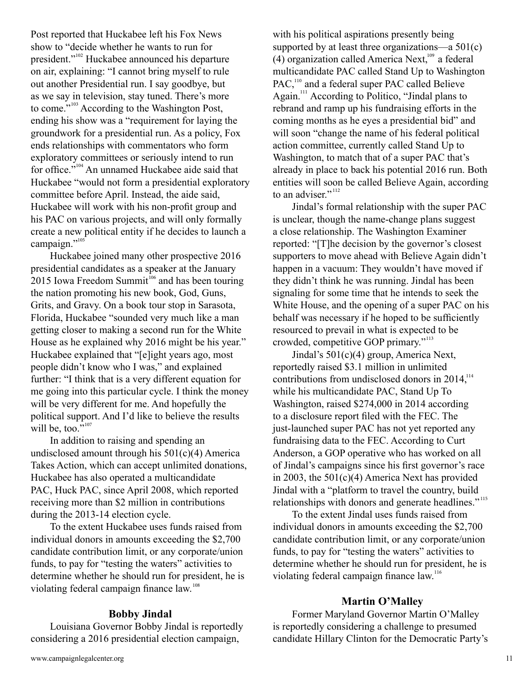Post reported that Huckabee left his Fox News show to "decide whether he wants to run for president."<sup>102</sup> Huckabee announced his departure on air, explaining: "I cannot bring myself to rule out another Presidential run. I say goodbye, but as we say in television, stay tuned. There's more to come."<sup> $103$ </sup> According to the Washington Post, ending his show was a "requirement for laying the groundwork for a presidential run. As a policy, Fox ends relationships with commentators who form exploratory committees or seriously intend to run for office." $104$  An unnamed Huckabee aide said that Huckabee "would not form a presidential exploratory committee before April. Instead, the aide said, Huckabee will work with his non-profit group and his PAC on various projects, and will only formally create a new political entity if he decides to launch a campaign."<sup>105</sup>

Huckabee joined many other prospective 2016 presidential candidates as a speaker at the January 2015 Iowa Freedom Summit $106$  and has been touring the nation promoting his new book, God, Guns, Grits, and Gravy. On a book tour stop in Sarasota, Florida, Huckabee "sounded very much like a man getting closer to making a second run for the White House as he explained why 2016 might be his year." Huckabee explained that "[e]ight years ago, most people didn't know who I was," and explained further: "I think that is a very different equation for me going into this particular cycle. I think the money will be very different for me. And hopefully the political support. And I'd like to believe the results will be, too." $107$ 

In addition to raising and spending an undisclosed amount through his  $501(c)(4)$  America Takes Action, which can accept unlimited donations, Huckabee has also operated a multicandidate PAC, Huck PAC, since April 2008, which reported receiving more than \$2 million in contributions during the 2013-14 election cycle.

To the extent Huckabee uses funds raised from individual donors in amounts exceeding the \$2,700 candidate contribution limit, or any corporate/union funds, to pay for "testing the waters" activities to determine whether he should run for president, he is violating federal campaign finance law.<sup>108</sup>

## **Bobby Jindal**

Louisiana Governor Bobby Jindal is reportedly considering a 2016 presidential election campaign,

with his political aspirations presently being supported by at least three organizations—a  $501(c)$ (4) organization called America Next,  $109$  a federal multicandidate PAC called Stand Up to Washington PAC,<sup>110</sup> and a federal super PAC called Believe Again.<sup>111</sup> According to Politico, "Jindal plans to rebrand and ramp up his fundraising efforts in the coming months as he eyes a presidential bid" and will soon "change the name of his federal political action committee, currently called Stand Up to Washington, to match that of a super PAC that's already in place to back his potential 2016 run. Both entities will soon be called Believe Again, according to an adviser."<sup>112</sup> 110 111

Jindal's formal relationship with the super PAC is unclear, though the name-change plans suggest a close relationship. The Washington Examiner reported: "[T]he decision by the governor's closest supporters to move ahead with Believe Again didn't happen in a vacuum: They wouldn't have moved if they didn't think he was running. Jindal has been signaling for some time that he intends to seek the White House, and the opening of a super PAC on his behalf was necessary if he hoped to be sufficiently resourced to prevail in what is expected to be crowded, competitive GOP primary."<sup>113</sup>

Jindal's 501(c)(4) group, America Next, reportedly raised \$3.1 million in unlimited contributions from undisclosed donors in  $2014$ ,<sup>114</sup> while his multicandidate PAC, Stand Up To Washington, raised \$274,000 in 2014 according to a disclosure report filed with the FEC. The just-launched super PAC has not yet reported any fundraising data to the FEC. According to Curt Anderson, a GOP operative who has worked on all of Jindal's campaigns since his first governor's race in 2003, the 501(c)(4) America Next has provided Jindal with a "platform to travel the country, build relationships with donors and generate headlines."<sup>115</sup>

To the extent Jindal uses funds raised from individual donors in amounts exceeding the \$2,700 candidate contribution limit, or any corporate/union funds, to pay for "testing the waters" activities to determine whether he should run for president, he is violating federal campaign finance law.<sup>116</sup>

## **Martin O'Malley**

Former Maryland Governor Martin O'Malley is reportedly considering a challenge to presumed candidate Hillary Clinton for the Democratic Party's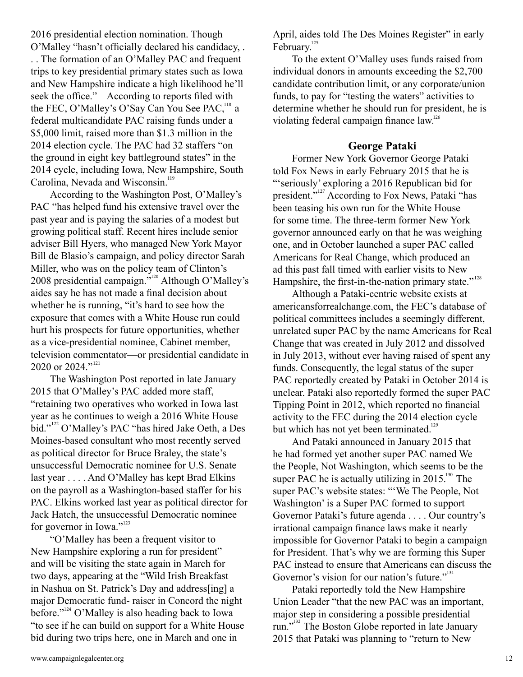2016 presidential election nomination. Though O'Malley "hasn't officially declared his candidacy, . . . The formation of an O'Malley PAC and frequent trips to key presidential primary states such as Iowa and New Hampshire indicate a high likelihood he'll seek the office." According to reports filed with the FEC, O'Malley's O'Say Can You See PAC,  $^{118}$  a federal multicandidate PAC raising funds under a \$5,000 limit, raised more than \$1.3 million in the 2014 election cycle. The PAC had 32 staffers "on the ground in eight key battleground states" in the 2014 cycle, including Iowa, New Hampshire, South Carolina, Nevada and Wisconsin.<sup>119</sup>

According to the Washington Post, O'Malley's PAC "has helped fund his extensive travel over the past year and is paying the salaries of a modest but growing political staff. Recent hires include senior adviser Bill Hyers, who managed New York Mayor Bill de Blasio's campaign, and policy director Sarah Miller, who was on the policy team of Clinton's 2008 presidential campaign."<sup>120</sup> Although O'Malley's aides say he has not made a final decision about whether he is running, "it's hard to see how the exposure that comes with a White House run could hurt his prospects for future opportunities, whether as a vice-presidential nominee, Cabinet member, television commentator—or presidential candidate in 2020 or 2024."<sup>121</sup>

The Washington Post reported in late January 2015 that O'Malley's PAC added more staff, "retaining two operatives who worked in Iowa last year as he continues to weigh a 2016 White House bid."<sup>122</sup> O'Malley's PAC "has hired Jake Oeth, a Des Moines-based consultant who most recently served as political director for Bruce Braley, the state's unsuccessful Democratic nominee for U.S. Senate last year . . . . And O'Malley has kept Brad Elkins on the payroll as a Washington-based staffer for his PAC. Elkins worked last year as political director for Jack Hatch, the unsuccessful Democratic nominee for governor in Iowa."<sup>123</sup>

"O'Malley has been a frequent visitor to New Hampshire exploring a run for president" and will be visiting the state again in March for two days, appearing at the "Wild Irish Breakfast in Nashua on St. Patrick's Day and address[ing] a major Democratic fund- raiser in Concord the night before." $^{124}$  O'Malley is also heading back to Iowa "to see if he can build on support for a White House bid during two trips here, one in March and one in

April, aides told The Des Moines Register" in early February.<sup>125</sup>

To the extent O'Malley uses funds raised from individual donors in amounts exceeding the \$2,700 candidate contribution limit, or any corporate/union funds, to pay for "testing the waters" activities to determine whether he should run for president, he is violating federal campaign finance law.<sup>126</sup>

## **George Pataki**

Former New York Governor George Pataki told Fox News in early February 2015 that he is "'seriously' exploring a 2016 Republican bid for president."<sup>127</sup> According to Fox News, Pataki "has been teasing his own run for the White House for some time. The three-term former New York governor announced early on that he was weighing one, and in October launched a super PAC called Americans for Real Change, which produced an ad this past fall timed with earlier visits to New Hampshire, the first-in-the-nation primary state."<sup>128</sup>

Although a Pataki-centric website exists at americansforrealchange.com, the FEC's database of political committees includes a seemingly different, unrelated super PAC by the name Americans for Real Change that was created in July 2012 and dissolved in July 2013, without ever having raised of spent any funds. Consequently, the legal status of the super PAC reportedly created by Pataki in October 2014 is unclear. Pataki also reportedly formed the super PAC Tipping Point in 2012, which reported no financial activity to the FEC during the 2014 election cycle but which has not yet been terminated.<sup>129</sup>

And Pataki announced in January 2015 that he had formed yet another super PAC named We the People, Not Washington, which seems to be the super PAC he is actually utilizing in 2015. $^{130}$  The super PAC's website states: "'We The People, Not Washington' is a Super PAC formed to support Governor Pataki's future agenda . . . . Our country's irrational campaign finance laws make it nearly impossible for Governor Pataki to begin a campaign for President. That's why we are forming this Super PAC instead to ensure that Americans can discuss the Governor's vision for our nation's future."

Pataki reportedly told the New Hampshire Union Leader "that the new PAC was an important, major step in considering a possible presidential run."<sup>132</sup> The Boston Globe reported in late January 2015 that Pataki was planning to "return to New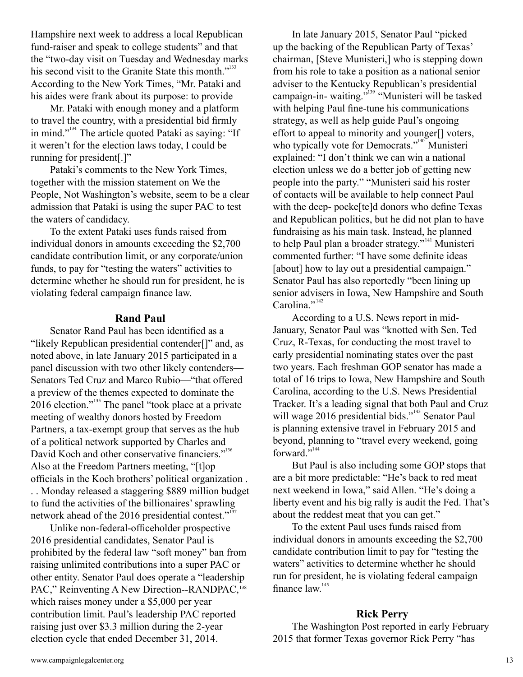Hampshire next week to address a local Republican fund-raiser and speak to college students" and that the "two-day visit on Tuesday and Wednesday marks his second visit to the Granite State this month."<sup>133</sup> According to the New York Times, "Mr. Pataki and his aides were frank about its purpose: to provide

Mr. Pataki with enough money and a platform to travel the country, with a presidential bid firmly in mind."<sup>134</sup> The article quoted Pataki as saying: "If it weren't for the election laws today, I could be running for president[.]"

Pataki's comments to the New York Times, together with the mission statement on We the People, Not Washington's website, seem to be a clear admission that Pataki is using the super PAC to test the waters of candidacy.

To the extent Pataki uses funds raised from individual donors in amounts exceeding the \$2,700 candidate contribution limit, or any corporate/union funds, to pay for "testing the waters" activities to determine whether he should run for president, he is violating federal campaign finance law.

#### **Rand Paul**

Senator Rand Paul has been identified as a "likely Republican presidential contender[]" and, as noted above, in late January 2015 participated in a panel discussion with two other likely contenders— Senators Ted Cruz and Marco Rubio—"that offered a preview of the themes expected to dominate the 2016 election."<sup>135</sup> The panel "took place at a private meeting of wealthy donors hosted by Freedom Partners, a tax-exempt group that serves as the hub of a political network supported by Charles and David Koch and other conservative financiers."<sup>136</sup> Also at the Freedom Partners meeting, "[t]op officials in the Koch brothers' political organization .

. . Monday released a staggering \$889 million budget to fund the activities of the billionaires' sprawling network ahead of the 2016 presidential contest."<sup>137</sup>

Unlike non-federal-officeholder prospective 2016 presidential candidates, Senator Paul is prohibited by the federal law "soft money" ban from raising unlimited contributions into a super PAC or other entity. Senator Paul does operate a "leadership PAC," Reinventing A New Direction--RANDPAC,<sup>138</sup> which raises money under a \$5,000 per year contribution limit. Paul's leadership PAC reported raising just over \$3.3 million during the 2-year election cycle that ended December 31, 2014.

In late January 2015, Senator Paul "picked up the backing of the Republican Party of Texas' chairman, [Steve Munisteri,] who is stepping down from his role to take a position as a national senior adviser to the Kentucky Republican's presidential campaign-in- waiting."<sup>139</sup> "Munisteri will be tasked with helping Paul fine-tune his communications strategy, as well as help guide Paul's ongoing effort to appeal to minority and younger[] voters, who typically vote for Democrats."<sup>140</sup> Munisteri explained: "I don't think we can win a national election unless we do a better job of getting new people into the party." "Munisteri said his roster of contacts will be available to help connect Paul with the deep- pocke[te]d donors who define Texas and Republican politics, but he did not plan to have fundraising as his main task. Instead, he planned to help Paul plan a broader strategy."<sup>141</sup> Munisteri commented further: "I have some definite ideas [about] how to lay out a presidential campaign." Senator Paul has also reportedly "been lining up senior advisers in Iowa, New Hampshire and South Carolina."<sup>142</sup>

According to a U.S. News report in mid-January, Senator Paul was "knotted with Sen. Ted Cruz, R-Texas, for conducting the most travel to early presidential nominating states over the past two years. Each freshman GOP senator has made a total of 16 trips to Iowa, New Hampshire and South Carolina, according to the U.S. News Presidential Tracker. It's a leading signal that both Paul and Cruz will wage 2016 presidential bids."<sup>143</sup> Senator Paul is planning extensive travel in February 2015 and beyond, planning to "travel every weekend, going forward."<sup>144</sup>

But Paul is also including some GOP stops that are a bit more predictable: "He's back to red meat next weekend in Iowa," said Allen. "He's doing a liberty event and his big rally is audit the Fed. That's about the reddest meat that you can get."

To the extent Paul uses funds raised from individual donors in amounts exceeding the \$2,700 candidate contribution limit to pay for "testing the waters" activities to determine whether he should run for president, he is violating federal campaign finance law.<sup>145</sup>

#### **Rick Perry**

The Washington Post reported in early February 2015 that former Texas governor Rick Perry "has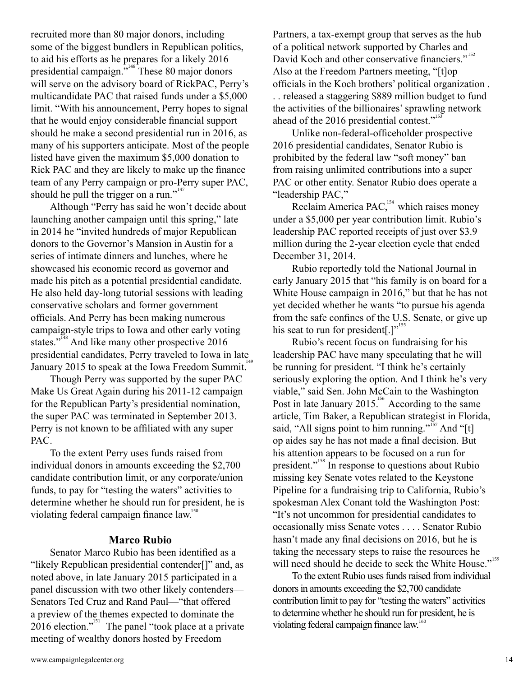recruited more than 80 major donors, including some of the biggest bundlers in Republican politics, to aid his efforts as he prepares for a likely 2016 presidential campaign.<sup>7,146</sup> These 80 major donors will serve on the advisory board of RickPAC, Perry's multicandidate PAC that raised funds under a \$5,000 limit. "With his announcement, Perry hopes to signal that he would enjoy considerable financial support should he make a second presidential run in 2016, as many of his supporters anticipate. Most of the people listed have given the maximum \$5,000 donation to Rick PAC and they are likely to make up the finance team of any Perry campaign or pro-Perry super PAC, should he pull the trigger on a run."<sup>147</sup>

Although "Perry has said he won't decide about launching another campaign until this spring," late in 2014 he "invited hundreds of major Republican donors to the Governor's Mansion in Austin for a series of intimate dinners and lunches, where he showcased his economic record as governor and made his pitch as a potential presidential candidate. He also held day-long tutorial sessions with leading conservative scholars and former government officials. And Perry has been making numerous campaign-style trips to Iowa and other early voting states."<sup> $148$ </sup> And like many other prospective 2016 presidential candidates, Perry traveled to Iowa in late January 2015 to speak at the Iowa Freedom Summit.<sup>149</sup>

Though Perry was supported by the super PAC Make Us Great Again during his 2011-12 campaign for the Republican Party's presidential nomination, the super PAC was terminated in September 2013. Perry is not known to be affiliated with any super PAC.

To the extent Perry uses funds raised from individual donors in amounts exceeding the \$2,700 candidate contribution limit, or any corporate/union funds, to pay for "testing the waters" activities to determine whether he should run for president, he is violating federal campaign finance law.<sup>150</sup>

#### **Marco Rubio**

Senator Marco Rubio has been identified as a "likely Republican presidential contender[]" and, as noted above, in late January 2015 participated in a panel discussion with two other likely contenders— Senators Ted Cruz and Rand Paul—"that offered a preview of the themes expected to dominate the  $2016$  election."<sup>151</sup> The panel "took place at a private meeting of wealthy donors hosted by Freedom

Partners, a tax-exempt group that serves as the hub of a political network supported by Charles and David Koch and other conservative financiers."<sup>152</sup> Also at the Freedom Partners meeting, "[t]op officials in the Koch brothers' political organization .

. . released a staggering \$889 million budget to fund the activities of the billionaires' sprawling network ahead of the 2016 presidential contest."<sup>153</sup>

Unlike non-federal-officeholder prospective 2016 presidential candidates, Senator Rubio is prohibited by the federal law "soft money" ban from raising unlimited contributions into a super PAC or other entity. Senator Rubio does operate a "leadership PAC,"

Reclaim America PAC, $^{154}$  which raises money under a \$5,000 per year contribution limit. Rubio's leadership PAC reported receipts of just over \$3.9 million during the 2-year election cycle that ended December 31, 2014.

Rubio reportedly told the National Journal in early January 2015 that "his family is on board for a White House campaign in 2016," but that he has not yet decided whether he wants "to pursue his agenda from the safe confines of the U.S. Senate, or give up his seat to run for president $[.]$ "

Rubio's recent focus on fundraising for his leadership PAC have many speculating that he will be running for president. "I think he's certainly seriously exploring the option. And I think he's very viable," said Sen. John McCain to the Washington Post in late January  $2015$ <sup>156</sup> According to the same article, Tim Baker, a Republican strategist in Florida, said, "All signs point to him running."<sup>157</sup> And "[t] op aides say he has not made a final decision. But his attention appears to be focused on a run for president."<sup>158</sup> In response to questions about Rubio missing key Senate votes related to the Keystone Pipeline for a fundraising trip to California, Rubio's spokesman Alex Conant told the Washington Post: "It's not uncommon for presidential candidates to occasionally miss Senate votes . . . . Senator Rubio hasn't made any final decisions on 2016, but he is taking the necessary steps to raise the resources he will need should he decide to seek the White House."<sup>159</sup>

To the extent Rubio uses funds raised from individual donors in amounts exceeding the \$2,700 candidate contribution limit to pay for "testing the waters" activities to determine whether he should run for president, he is violating federal campaign finance law.<sup>160</sup>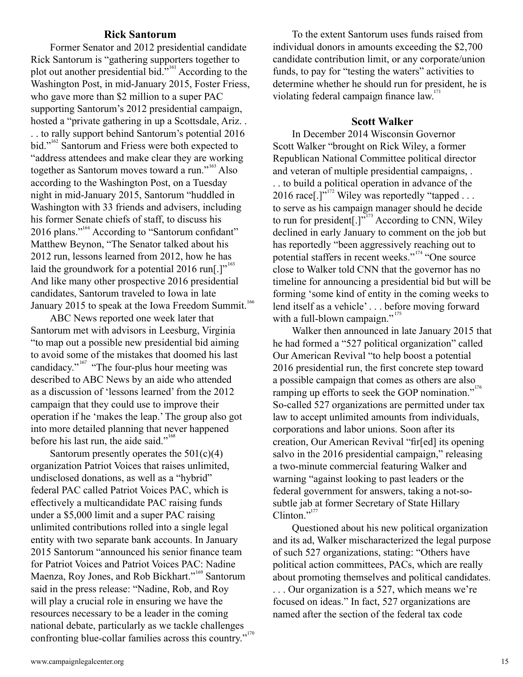#### **Rick Santorum**

Former Senator and 2012 presidential candidate Rick Santorum is "gathering supporters together to plot out another presidential bid."<sup>161</sup> According to the Washington Post, in mid-January 2015, Foster Friess, who gave more than \$2 million to a super PAC supporting Santorum's 2012 presidential campaign, hosted a "private gathering in up a Scottsdale, Ariz. . . . to rally support behind Santorum's potential 2016 bid."<sup>162</sup> Santorum and Friess were both expected to "address attendees and make clear they are working together as Santorum moves toward a run."<sup>163</sup> Also according to the Washington Post, on a Tuesday night in mid-January 2015, Santorum "huddled in Washington with 33 friends and advisers, including his former Senate chiefs of staff, to discuss his 2016 plans."<sup>164</sup> According to "Santorum confidant" Matthew Beynon, "The Senator talked about his 2012 run, lessons learned from 2012, how he has laid the groundwork for a potential 2016 run[.]"  $1^{165}$ And like many other prospective 2016 presidential candidates, Santorum traveled to Iowa in late January 2015 to speak at the Iowa Freedom Summit.<sup>166</sup>

ABC News reported one week later that Santorum met with advisors in Leesburg, Virginia "to map out a possible new presidential bid aiming to avoid some of the mistakes that doomed his last candidacy."<sup>167</sup> "The four-plus hour meeting was described to ABC News by an aide who attended as a discussion of 'lessons learned' from the 2012 campaign that they could use to improve their operation if he 'makes the leap.' The group also got into more detailed planning that never happened before his last run, the aide said."<sup>168</sup>

Santorum presently operates the  $501(c)(4)$ organization Patriot Voices that raises unlimited, undisclosed donations, as well as a "hybrid" federal PAC called Patriot Voices PAC, which is effectively a multicandidate PAC raising funds under a \$5,000 limit and a super PAC raising unlimited contributions rolled into a single legal entity with two separate bank accounts. In January 2015 Santorum "announced his senior finance team for Patriot Voices and Patriot Voices PAC: Nadine Maenza, Roy Jones, and Rob Bickhart."<sup>169</sup> Santorum said in the press release: "Nadine, Rob, and Roy will play a crucial role in ensuring we have the resources necessary to be a leader in the coming national debate, particularly as we tackle challenges confronting blue-collar families across this country."<sup>170</sup>

To the extent Santorum uses funds raised from individual donors in amounts exceeding the \$2,700 candidate contribution limit, or any corporate/union funds, to pay for "testing the waters" activities to determine whether he should run for president, he is violating federal campaign finance law.<sup>171</sup>

#### **Scott Walker**

In December 2014 Wisconsin Governor Scott Walker "brought on Rick Wiley, a former Republican National Committee political director and veteran of multiple presidential campaigns, . . . to build a political operation in advance of the 2016 race[.]"<sup>172</sup> Wiley was reportedly "tapped . . . to serve as his campaign manager should he decide to run for president $[.]$ <sup>" According</sup> to CNN, Wiley declined in early January to comment on the job but has reportedly "been aggressively reaching out to potential staffers in recent weeks."<sup>174</sup> "One source close to Walker told CNN that the governor has no timeline for announcing a presidential bid but will be forming 'some kind of entity in the coming weeks to lend itself as a vehicle' . . . before moving forward with a full-blown campaign."<sup>175</sup>

Walker then announced in late January 2015 that he had formed a "527 political organization" called Our American Revival "to help boost a potential 2016 presidential run, the first concrete step toward a possible campaign that comes as others are also ramping up efforts to seek the GOP nomination."<sup>176</sup> So-called 527 organizations are permitted under tax law to accept unlimited amounts from individuals, corporations and labor unions. Soon after its creation, Our American Revival "fir[ed] its opening salvo in the 2016 presidential campaign," releasing a two-minute commercial featuring Walker and warning "against looking to past leaders or the federal government for answers, taking a not-sosubtle jab at former Secretary of State Hillary Clinton."<sup>177</sup>

Questioned about his new political organization and its ad, Walker mischaracterized the legal purpose of such 527 organizations, stating: "Others have political action committees, PACs, which are really about promoting themselves and political candidates.

. . . Our organization is a 527, which means we're focused on ideas." In fact, 527 organizations are named after the section of the federal tax code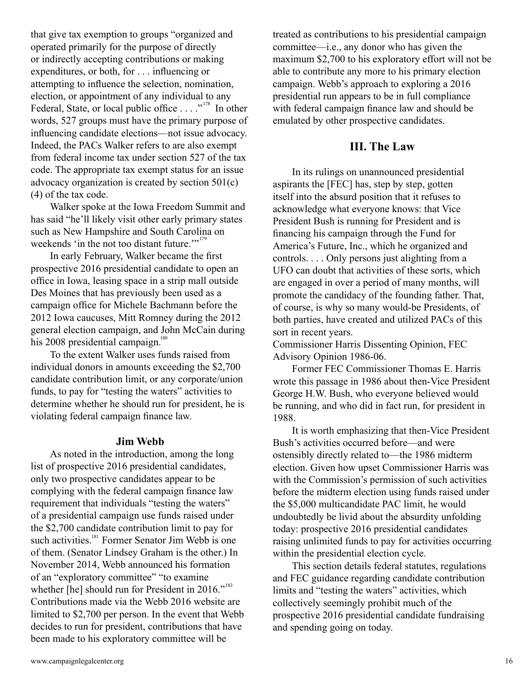that give tax exemption to groups "organized and operated primarily for the purpose of directly or indirectly accepting contributions or making expenditures, or both, for . . . influencing or attempting to influence the selection, nomination, election, or appointment of any individual to any Federal, State, or local public office  $\ldots$ ."<sup>178</sup> In other words, 527 groups must have the primary purpose of influencing candidate elections—not issue advocacy. Indeed, the PACs Walker refers to are also exempt from federal income tax under section 527 of the tax code. The appropriate tax exempt status for an issue advocacy organization is created by section 501(c) (4) of the tax code.

Walker spoke at the Iowa Freedom Summit and has said "he'll likely visit other early primary states such as New Hampshire and South Carolina on weekends 'in the not too distant future."<sup>179</sup>

In early February, Walker became the first prospective 2016 presidential candidate to open an office in Iowa, leasing space in a strip mall outside Des Moines that has previously been used as a campaign office for Michele Bachmann before the 2012 Iowa caucuses, Mitt Romney during the 2012 general election campaign, and John McCain during his 2008 presidential campaign.<sup>180</sup>

To the extent Walker uses funds raised from individual donors in amounts exceeding the \$2,700 candidate contribution limit, or any corporate/union funds, to pay for "testing the waters" activities to determine whether he should run for president, he is violating federal campaign finance law.

#### **Jim Webb**

As noted in the introduction, among the long list of prospective 2016 presidential candidates, only two prospective candidates appear to be complying with the federal campaign finance law requirement that individuals "testing the waters" of a presidential campaign use funds raised under the \$2,700 candidate contribution limit to pay for such activities.<sup>181</sup> Former Senator Jim Webb is one of them. (Senator Lindsey Graham is the other.) In November 2014, Webb announced his formation of an "exploratory committee" "to examine whether [he] should run for President in 2016." $182$ Contributions made via the Webb 2016 website are limited to \$2,700 per person. In the event that Webb decides to run for president, contributions that have been made to his exploratory committee will be

treated as contributions to his presidential campaign committee—i.e., any donor who has given the maximum \$2,700 to his exploratory effort will not be able to contribute any more to his primary election campaign. Webb's approach to exploring a 2016 presidential run appears to be in full compliance with federal campaign finance law and should be emulated by other prospective candidates.

## **III. The Law**

In its rulings on unannounced presidential aspirants the [FEC] has, step by step, gotten itself into the absurd position that it refuses to acknowledge what everyone knows: that Vice President Bush is running for President and is financing his campaign through the Fund for America's Future, Inc., which he organized and controls. . . . Only persons just alighting from a UFO can doubt that activities of these sorts, which are engaged in over a period of many months, will promote the candidacy of the founding father. That, of course, is why so many would-be Presidents, of both parties, have created and utilized PACs of this sort in recent years.

Commissioner Harris Dissenting Opinion, FEC Advisory Opinion 1986-06.

Former FEC Commissioner Thomas E. Harris wrote this passage in 1986 about then-Vice President George H.W. Bush, who everyone believed would be running, and who did in fact run, for president in 1988.

It is worth emphasizing that then-Vice President Bush's activities occurred before—and were ostensibly directly related to—the 1986 midterm election. Given how upset Commissioner Harris was with the Commission's permission of such activities before the midterm election using funds raised under the \$5,000 multicandidate PAC limit, he would undoubtedly be livid about the absurdity unfolding today: prospective 2016 presidential candidates raising unlimited funds to pay for activities occurring within the presidential election cycle.

This section details federal statutes, regulations and FEC guidance regarding candidate contribution limits and "testing the waters" activities, which collectively seemingly prohibit much of the prospective 2016 presidential candidate fundraising and spending going on today.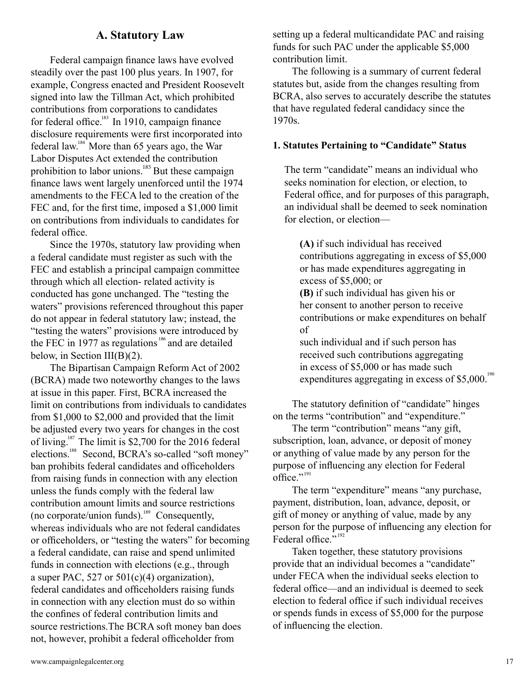## **A. Statutory Law**

Federal campaign finance laws have evolved steadily over the past 100 plus years. In 1907, for example, Congress enacted and President Roosevelt signed into law the Tillman Act, which prohibited contributions from corporations to candidates for federal office. $183$  In 1910, campaign finance disclosure requirements were first incorporated into federal law.<sup>184</sup> More than 65 years ago, the War Labor Disputes Act extended the contribution prohibition to labor unions.<sup>185</sup> But these campaign finance laws went largely unenforced until the 1974 amendments to the FECA led to the creation of the FEC and, for the first time, imposed a \$1,000 limit on contributions from individuals to candidates for federal office.

Since the 1970s, statutory law providing when a federal candidate must register as such with the FEC and establish a principal campaign committee through which all election- related activity is conducted has gone unchanged. The "testing the waters" provisions referenced throughout this paper do not appear in federal statutory law; instead, the "testing the waters" provisions were introduced by the FEC in 1977 as regulations  $186$  and are detailed below, in Section III(B)(2).

The Bipartisan Campaign Reform Act of 2002 (BCRA) made two noteworthy changes to the laws at issue in this paper. First, BCRA increased the limit on contributions from individuals to candidates from \$1,000 to \$2,000 and provided that the limit be adjusted every two years for changes in the cost of living.<sup>187</sup> The limit is \$2,700 for the 2016 federal elections.<sup>188</sup> Second, BCRA's so-called "soft money" ban prohibits federal candidates and officeholders from raising funds in connection with any election unless the funds comply with the federal law contribution amount limits and source restrictions (no corporate/union funds).<sup>189</sup> Consequently, whereas individuals who are not federal candidates or officeholders, or "testing the waters" for becoming a federal candidate, can raise and spend unlimited funds in connection with elections (e.g., through a super PAC, 527 or  $501(c)(4)$  organization), federal candidates and officeholders raising funds in connection with any election must do so within the confines of federal contribution limits and source restrictions.The BCRA soft money ban does not, however, prohibit a federal officeholder from

setting up a federal multicandidate PAC and raising funds for such PAC under the applicable \$5,000 contribution limit.

The following is a summary of current federal statutes but, aside from the changes resulting from BCRA, also serves to accurately describe the statutes that have regulated federal candidacy since the 1970s.

#### **1. Statutes Pertaining to "Candidate" Status**

The term "candidate" means an individual who seeks nomination for election, or election, to Federal office, and for purposes of this paragraph, an individual shall be deemed to seek nomination for election, or election—

**(A)** if such individual has received contributions aggregating in excess of \$5,000 or has made expenditures aggregating in excess of \$5,000; or

**(B)** if such individual has given his or her consent to another person to receive contributions or make expenditures on behalf of

such individual and if such person has received such contributions aggregating in excess of \$5,000 or has made such expenditures aggregating in excess of \$5,000. $190$ 

The statutory definition of "candidate" hinges on the terms "contribution" and "expenditure."

The term "contribution" means "any gift, subscription, loan, advance, or deposit of money or anything of value made by any person for the purpose of influencing any election for Federal office."<sup>191</sup>

The term "expenditure" means "any purchase, payment, distribution, loan, advance, deposit, or gift of money or anything of value, made by any person for the purpose of influencing any election for Federal office."<sup>192</sup>

Taken together, these statutory provisions provide that an individual becomes a "candidate" under FECA when the individual seeks election to federal office—and an individual is deemed to seek election to federal office if such individual receives or spends funds in excess of \$5,000 for the purpose of influencing the election.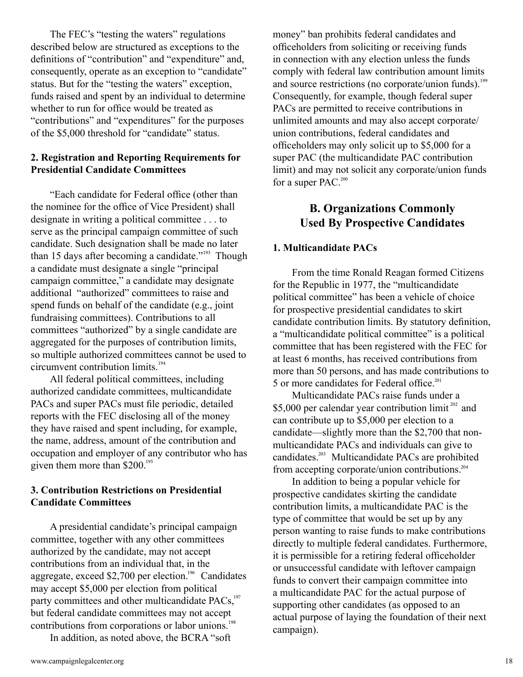The FEC's "testing the waters" regulations described below are structured as exceptions to the definitions of "contribution" and "expenditure" and, consequently, operate as an exception to "candidate" status. But for the "testing the waters" exception, funds raised and spent by an individual to determine whether to run for office would be treated as "contributions" and "expenditures" for the purposes of the \$5,000 threshold for "candidate" status.

## **2. Registration and Reporting Requirements for Presidential Candidate Committees**

"Each candidate for Federal office (other than the nominee for the office of Vice President) shall designate in writing a political committee . . . to serve as the principal campaign committee of such candidate. Such designation shall be made no later than 15 days after becoming a candidate."<sup>193</sup> Though a candidate must designate a single "principal campaign committee," a candidate may designate additional "authorized" committees to raise and spend funds on behalf of the candidate (e.g., joint fundraising committees). Contributions to all committees "authorized" by a single candidate are aggregated for the purposes of contribution limits, so multiple authorized committees cannot be used to circumvent contribution limits. 194

All federal political committees, including authorized candidate committees, multicandidate PACs and super PACs must file periodic, detailed reports with the FEC disclosing all of the money they have raised and spent including, for example, the name, address, amount of the contribution and occupation and employer of any contributor who has given them more than \$200.<sup>195</sup>

## **3. Contribution Restrictions on Presidential Candidate Committees**

A presidential candidate's principal campaign committee, together with any other committees authorized by the candidate, may not accept contributions from an individual that, in the aggregate, exceed \$2,700 per election.<sup>196</sup> Candidates may accept \$5,000 per election from political party committees and other multicandidate PACs,<sup>197</sup> but federal candidate committees may not accept contributions from corporations or labor unions. 198

In addition, as noted above, the BCRA "soft

money" ban prohibits federal candidates and officeholders from soliciting or receiving funds in connection with any election unless the funds comply with federal law contribution amount limits and source restrictions (no corporate/union funds).<sup>199</sup> Consequently, for example, though federal super PACs are permitted to receive contributions in unlimited amounts and may also accept corporate/ union contributions, federal candidates and officeholders may only solicit up to \$5,000 for a super PAC (the multicandidate PAC contribution limit) and may not solicit any corporate/union funds for a super PAC.<sup>200</sup>

# **B. Organizations Commonly Used By Prospective Candidates**

## **1. Multicandidate PACs**

From the time Ronald Reagan formed Citizens for the Republic in 1977, the "multicandidate political committee" has been a vehicle of choice for prospective presidential candidates to skirt candidate contribution limits. By statutory definition, a "multicandidate political committee" is a political committee that has been registered with the FEC for at least 6 months, has received contributions from more than 50 persons, and has made contributions to 5 or more candidates for Federal office. 201

Multicandidate PACs raise funds under a \$5,000 per calendar year contribution limit<sup>202</sup> and can contribute up to \$5,000 per election to a candidate—slightly more than the \$2,700 that nonmulticandidate PACs and individuals can give to candidates.<sup>203</sup> Multicandidate PACs are prohibited from accepting corporate/union contributions. 204

In addition to being a popular vehicle for prospective candidates skirting the candidate contribution limits, a multicandidate PAC is the type of committee that would be set up by any person wanting to raise funds to make contributions directly to multiple federal candidates. Furthermore, it is permissible for a retiring federal officeholder or unsuccessful candidate with leftover campaign funds to convert their campaign committee into a multicandidate PAC for the actual purpose of supporting other candidates (as opposed to an actual purpose of laying the foundation of their next campaign).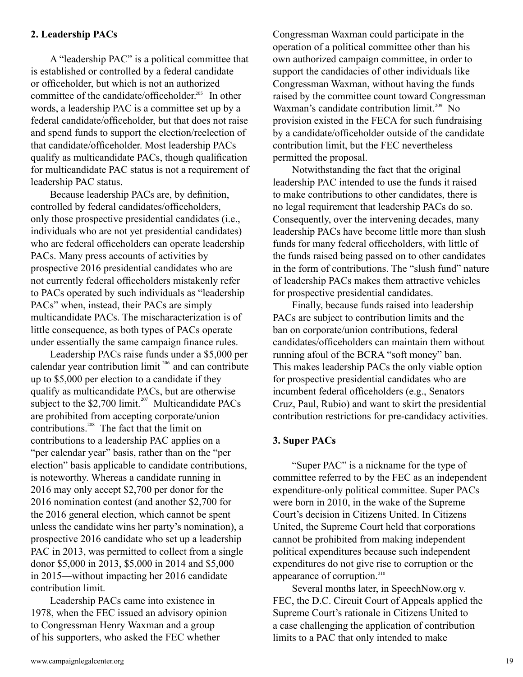## **2. Leadership PACs**

A "leadership PAC" is a political committee that is established or controlled by a federal candidate or officeholder, but which is not an authorized committee of the candidate/officeholder.<sup>205</sup> In other words, a leadership PAC is a committee set up by a federal candidate/officeholder, but that does not raise and spend funds to support the election/reelection of that candidate/officeholder. Most leadership PACs qualify as multicandidate PACs, though qualification for multicandidate PAC status is not a requirement of leadership PAC status.

Because leadership PACs are, by definition, controlled by federal candidates/officeholders, only those prospective presidential candidates (i.e., individuals who are not yet presidential candidates) who are federal officeholders can operate leadership PACs. Many press accounts of activities by prospective 2016 presidential candidates who are not currently federal officeholders mistakenly refer to PACs operated by such individuals as "leadership PACs" when, instead, their PACs are simply multicandidate PACs. The mischaracterization is of little consequence, as both types of PACs operate under essentially the same campaign finance rules.

Leadership PACs raise funds under a \$5,000 per calendar year contribution limit<sup> $206$ </sup> and can contribute up to \$5,000 per election to a candidate if they qualify as multicandidate PACs, but are otherwise subject to the \$2,700 limit.<sup>207</sup> Multicandidate PACs are prohibited from accepting corporate/union contributions.<sup>208</sup> The fact that the limit on contributions to a leadership PAC applies on a "per calendar year" basis, rather than on the "per election" basis applicable to candidate contributions, is noteworthy. Whereas a candidate running in 2016 may only accept \$2,700 per donor for the 2016 nomination contest (and another \$2,700 for the 2016 general election, which cannot be spent unless the candidate wins her party's nomination), a prospective 2016 candidate who set up a leadership PAC in 2013, was permitted to collect from a single donor \$5,000 in 2013, \$5,000 in 2014 and \$5,000 in 2015—without impacting her 2016 candidate contribution limit.

Leadership PACs came into existence in 1978, when the FEC issued an advisory opinion to Congressman Henry Waxman and a group of his supporters, who asked the FEC whether

Congressman Waxman could participate in the operation of a political committee other than his own authorized campaign committee, in order to support the candidacies of other individuals like Congressman Waxman, without having the funds raised by the committee count toward Congressman Waxman's candidate contribution limit.<sup>209</sup> No provision existed in the FECA for such fundraising by a candidate/officeholder outside of the candidate contribution limit, but the FEC nevertheless permitted the proposal.

Notwithstanding the fact that the original leadership PAC intended to use the funds it raised to make contributions to other candidates, there is no legal requirement that leadership PACs do so. Consequently, over the intervening decades, many leadership PACs have become little more than slush funds for many federal officeholders, with little of the funds raised being passed on to other candidates in the form of contributions. The "slush fund" nature of leadership PACs makes them attractive vehicles for prospective presidential candidates.

Finally, because funds raised into leadership PACs are subject to contribution limits and the ban on corporate/union contributions, federal candidates/officeholders can maintain them without running afoul of the BCRA "soft money" ban. This makes leadership PACs the only viable option for prospective presidential candidates who are incumbent federal officeholders (e.g., Senators Cruz, Paul, Rubio) and want to skirt the presidential contribution restrictions for pre-candidacy activities.

#### **3. Super PACs**

"Super PAC" is a nickname for the type of committee referred to by the FEC as an independent expenditure-only political committee. Super PACs were born in 2010, in the wake of the Supreme Court's decision in Citizens United. In Citizens United, the Supreme Court held that corporations cannot be prohibited from making independent political expenditures because such independent expenditures do not give rise to corruption or the appearance of corruption.<sup>210</sup>

Several months later, in SpeechNow.org v. FEC, the D.C. Circuit Court of Appeals applied the Supreme Court's rationale in Citizens United to a case challenging the application of contribution limits to a PAC that only intended to make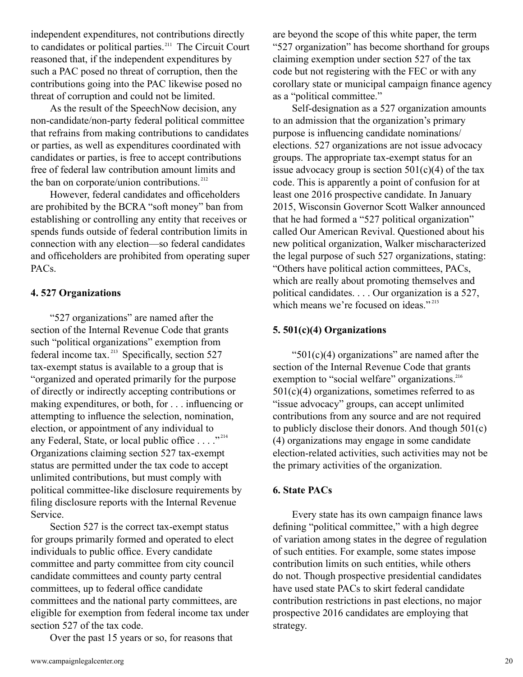independent expenditures, not contributions directly to candidates or political parties.<sup>211</sup> The Circuit Court reasoned that, if the independent expenditures by such a PAC posed no threat of corruption, then the contributions going into the PAC likewise posed no threat of corruption and could not be limited.

As the result of the SpeechNow decision, any non-candidate/non-party federal political committee that refrains from making contributions to candidates or parties, as well as expenditures coordinated with candidates or parties, is free to accept contributions free of federal law contribution amount limits and the ban on corporate/union contributions.<sup>212</sup>

However, federal candidates and officeholders are prohibited by the BCRA "soft money" ban from establishing or controlling any entity that receives or spends funds outside of federal contribution limits in connection with any election—so federal candidates and officeholders are prohibited from operating super PACs.

#### **4. 527 Organizations**

"527 organizations" are named after the section of the Internal Revenue Code that grants such "political organizations" exemption from federal income tax.<sup>213</sup> Specifically, section  $527$ tax-exempt status is available to a group that is "organized and operated primarily for the purpose of directly or indirectly accepting contributions or making expenditures, or both, for . . . influencing or attempting to influence the selection, nomination, election, or appointment of any individual to any Federal, State, or local public office  $\dots$  ."<sup>214</sup> Organizations claiming section 527 tax-exempt status are permitted under the tax code to accept unlimited contributions, but must comply with political committee-like disclosure requirements by filing disclosure reports with the Internal Revenue Service.

Section 527 is the correct tax-exempt status for groups primarily formed and operated to elect individuals to public office. Every candidate committee and party committee from city council candidate committees and county party central committees, up to federal office candidate committees and the national party committees, are eligible for exemption from federal income tax under section 527 of the tax code.

Over the past 15 years or so, for reasons that

Self-designation as a 527 organization amounts to an admission that the organization's primary purpose is influencing candidate nominations/ elections. 527 organizations are not issue advocacy groups. The appropriate tax-exempt status for an issue advocacy group is section  $501(c)(4)$  of the tax code. This is apparently a point of confusion for at least one 2016 prospective candidate. In January 2015, Wisconsin Governor Scott Walker announced that he had formed a "527 political organization" called Our American Revival. Questioned about his new political organization, Walker mischaracterized the legal purpose of such 527 organizations, stating: "Others have political action committees, PACs, which are really about promoting themselves and political candidates. . . . Our organization is a 527, which means we're focused on ideas."<sup>215</sup>

## **5. 501(c)(4) Organizations**

" $501(c)(4)$  organizations" are named after the section of the Internal Revenue Code that grants exemption to "social welfare" organizations.<sup>216</sup>  $501(c)(4)$  organizations, sometimes referred to as "issue advocacy" groups, can accept unlimited contributions from any source and are not required to publicly disclose their donors. And though 501(c) (4) organizations may engage in some candidate election-related activities, such activities may not be the primary activities of the organization.

## **6. State PACs**

Every state has its own campaign finance laws defining "political committee," with a high degree of variation among states in the degree of regulation of such entities. For example, some states impose contribution limits on such entities, while others do not. Though prospective presidential candidates have used state PACs to skirt federal candidate contribution restrictions in past elections, no major prospective 2016 candidates are employing that strategy.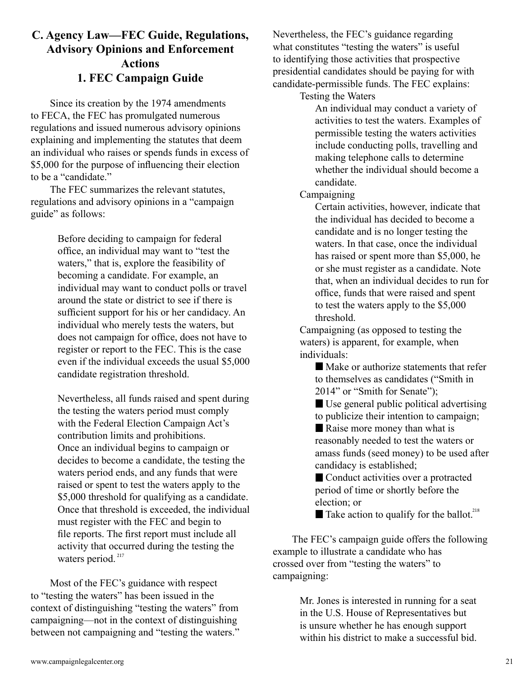# **C. Agency Law—FEC Guide, Regulations, Advisory Opinions and Enforcement Actions 1. FEC Campaign Guide**

Since its creation by the 1974 amendments to FECA, the FEC has promulgated numerous regulations and issued numerous advisory opinions explaining and implementing the statutes that deem an individual who raises or spends funds in excess of \$5,000 for the purpose of influencing their election to be a "candidate."

The FEC summarizes the relevant statutes, regulations and advisory opinions in a "campaign guide" as follows:

> Before deciding to campaign for federal office, an individual may want to "test the waters," that is, explore the feasibility of becoming a candidate. For example, an individual may want to conduct polls or travel around the state or district to see if there is sufficient support for his or her candidacy. An individual who merely tests the waters, but does not campaign for office, does not have to register or report to the FEC. This is the case even if the individual exceeds the usual \$5,000 candidate registration threshold.

> Nevertheless, all funds raised and spent during the testing the waters period must comply with the Federal Election Campaign Act's contribution limits and prohibitions. Once an individual begins to campaign or decides to become a candidate, the testing the waters period ends, and any funds that were raised or spent to test the waters apply to the \$5,000 threshold for qualifying as a candidate. Once that threshold is exceeded, the individual must register with the FEC and begin to file reports. The first report must include all activity that occurred during the testing the waters period.<sup>217</sup>

Most of the FEC's guidance with respect to "testing the waters" has been issued in the context of distinguishing "testing the waters" from campaigning—not in the context of distinguishing between not campaigning and "testing the waters." Nevertheless, the FEC's guidance regarding what constitutes "testing the waters" is useful to identifying those activities that prospective presidential candidates should be paying for with candidate-permissible funds. The FEC explains:

Testing the Waters

An individual may conduct a variety of activities to test the waters. Examples of permissible testing the waters activities include conducting polls, travelling and making telephone calls to determine whether the individual should become a candidate.

#### Campaigning

Certain activities, however, indicate that the individual has decided to become a candidate and is no longer testing the waters. In that case, once the individual has raised or spent more than \$5,000, he or she must register as a candidate. Note that, when an individual decides to run for office, funds that were raised and spent to test the waters apply to the \$5,000 threshold.

Campaigning (as opposed to testing the waters) is apparent, for example, when individuals:

 Make or authorize statements that refer to themselves as candidates ("Smith in 2014" or "Smith for Senate");

 Use general public political advertising to publicize their intention to campaign;

 Raise more money than what is reasonably needed to test the waters or amass funds (seed money) to be used after candidacy is established;

■ Conduct activities over a protracted period of time or shortly before the election; or

Take action to qualify for the ballot.<sup>218</sup>

The FEC's campaign guide offers the following example to illustrate a candidate who has crossed over from "testing the waters" to campaigning:

> Mr. Jones is interested in running for a seat in the U.S. House of Representatives but is unsure whether he has enough support within his district to make a successful bid.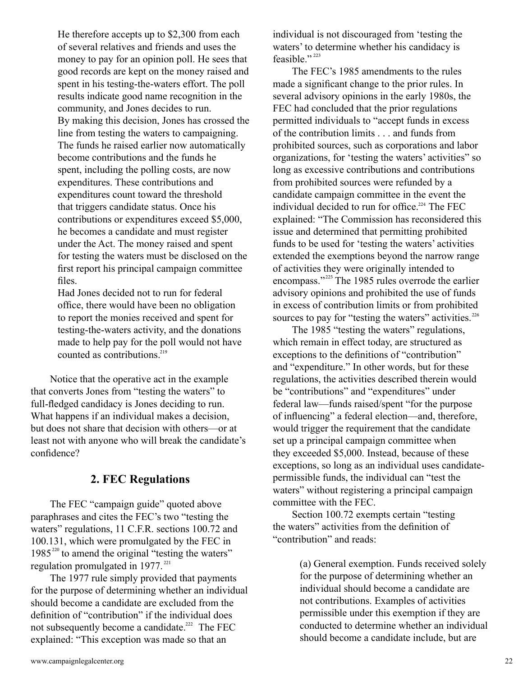He therefore accepts up to \$2,300 from each of several relatives and friends and uses the money to pay for an opinion poll. He sees that good records are kept on the money raised and spent in his testing-the-waters effort. The poll results indicate good name recognition in the community, and Jones decides to run. By making this decision, Jones has crossed the line from testing the waters to campaigning. The funds he raised earlier now automatically become contributions and the funds he spent, including the polling costs, are now expenditures. These contributions and expenditures count toward the threshold that triggers candidate status. Once his contributions or expenditures exceed \$5,000, he becomes a candidate and must register under the Act. The money raised and spent for testing the waters must be disclosed on the first report his principal campaign committee files.

Had Jones decided not to run for federal office, there would have been no obligation to report the monies received and spent for testing-the-waters activity, and the donations made to help pay for the poll would not have counted as contributions. 219

Notice that the operative act in the example that converts Jones from "testing the waters" to full-fledged candidacy is Jones deciding to run. What happens if an individual makes a decision, but does not share that decision with others—or at least not with anyone who will break the candidate's confidence?

# **2. FEC Regulations**

The FEC "campaign guide" quoted above paraphrases and cites the FEC's two "testing the waters" regulations, 11 C.F.R. sections 100.72 and 100.131, which were promulgated by the FEC in  $1985^{220}$  to amend the original "testing the waters" regulation promulgated in 1977.<sup>221</sup>

The 1977 rule simply provided that payments for the purpose of determining whether an individual should become a candidate are excluded from the definition of "contribution" if the individual does not subsequently become a candidate.<sup>222</sup> The FEC explained: "This exception was made so that an

individual is not discouraged from 'testing the waters' to determine whether his candidacy is feasible."<sup>223</sup>

The FEC's 1985 amendments to the rules made a significant change to the prior rules. In several advisory opinions in the early 1980s, the FEC had concluded that the prior regulations permitted individuals to "accept funds in excess of the contribution limits . . . and funds from prohibited sources, such as corporations and labor organizations, for 'testing the waters' activities" so long as excessive contributions and contributions from prohibited sources were refunded by a candidate campaign committee in the event the individual decided to run for office.<sup>224</sup> The FEC explained: "The Commission has reconsidered this issue and determined that permitting prohibited funds to be used for 'testing the waters' activities extended the exemptions beyond the narrow range of activities they were originally intended to encompass."<sup>225</sup> The 1985 rules overrode the earlier advisory opinions and prohibited the use of funds in excess of contribution limits or from prohibited sources to pay for "testing the waters" activities.<sup>226</sup>

The 1985 "testing the waters" regulations, which remain in effect today, are structured as exceptions to the definitions of "contribution" and "expenditure." In other words, but for these regulations, the activities described therein would be "contributions" and "expenditures" under federal law—funds raised/spent "for the purpose of influencing" a federal election—and, therefore, would trigger the requirement that the candidate set up a principal campaign committee when they exceeded \$5,000. Instead, because of these exceptions, so long as an individual uses candidatepermissible funds, the individual can "test the waters" without registering a principal campaign committee with the FEC.

Section 100.72 exempts certain "testing the waters" activities from the definition of "contribution" and reads:

> (a) General exemption. Funds received solely for the purpose of determining whether an individual should become a candidate are not contributions. Examples of activities permissible under this exemption if they are conducted to determine whether an individual should become a candidate include, but are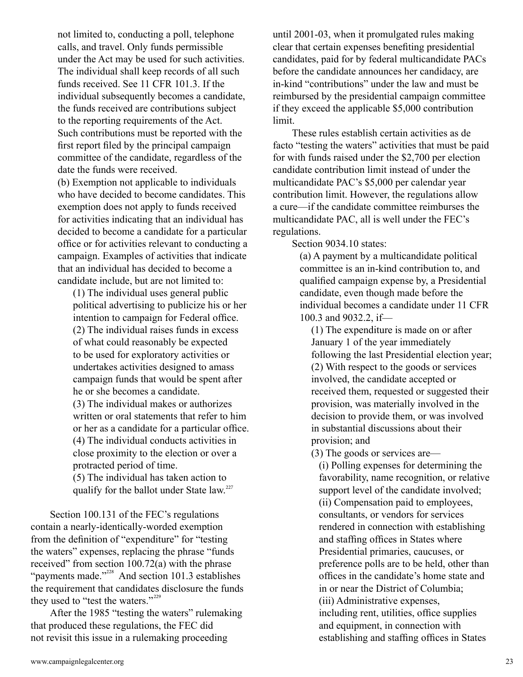not limited to, conducting a poll, telephone calls, and travel. Only funds permissible under the Act may be used for such activities. The individual shall keep records of all such funds received. See 11 CFR 101.3. If the individual subsequently becomes a candidate, the funds received are contributions subject to the reporting requirements of the Act. Such contributions must be reported with the first report filed by the principal campaign committee of the candidate, regardless of the date the funds were received.

(b) Exemption not applicable to individuals who have decided to become candidates. This exemption does not apply to funds received for activities indicating that an individual has decided to become a candidate for a particular office or for activities relevant to conducting a campaign. Examples of activities that indicate that an individual has decided to become a candidate include, but are not limited to:

(1) The individual uses general public political advertising to publicize his or her intention to campaign for Federal office. (2) The individual raises funds in excess of what could reasonably be expected to be used for exploratory activities or undertakes activities designed to amass campaign funds that would be spent after he or she becomes a candidate. (3) The individual makes or authorizes written or oral statements that refer to him or her as a candidate for a particular office. (4) The individual conducts activities in close proximity to the election or over a protracted period of time. (5) The individual has taken action to

qualify for the ballot under State law.<sup>227</sup>

Section 100.131 of the FEC's regulations contain a nearly-identically-worded exemption from the definition of "expenditure" for "testing the waters" expenses, replacing the phrase "funds received" from section 100.72(a) with the phrase "payments made." $^{228}$  And section 101.3 establishes the requirement that candidates disclosure the funds they used to "test the waters."<sup>229</sup>

After the 1985 "testing the waters" rulemaking that produced these regulations, the FEC did not revisit this issue in a rulemaking proceeding

until 2001-03, when it promulgated rules making clear that certain expenses benefiting presidential candidates, paid for by federal multicandidate PACs before the candidate announces her candidacy, are in-kind "contributions" under the law and must be reimbursed by the presidential campaign committee if they exceed the applicable \$5,000 contribution limit.

These rules establish certain activities as de facto "testing the waters" activities that must be paid for with funds raised under the \$2,700 per election candidate contribution limit instead of under the multicandidate PAC's \$5,000 per calendar year contribution limit. However, the regulations allow a cure—if the candidate committee reimburses the multicandidate PAC, all is well under the FEC's regulations.

Section 9034.10 states:

(a) A payment by a multicandidate political committee is an in-kind contribution to, and qualified campaign expense by, a Presidential candidate, even though made before the individual becomes a candidate under 11 CFR 100.3 and 9032.2, if—

(1) The expenditure is made on or after January 1 of the year immediately following the last Presidential election year; (2) With respect to the goods or services involved, the candidate accepted or received them, requested or suggested their provision, was materially involved in the decision to provide them, or was involved in substantial discussions about their provision; and

(3) The goods or services are—

(i) Polling expenses for determining the favorability, name recognition, or relative support level of the candidate involved; (ii) Compensation paid to employees, consultants, or vendors for services rendered in connection with establishing and staffing offices in States where Presidential primaries, caucuses, or preference polls are to be held, other than offices in the candidate's home state and in or near the District of Columbia; (iii) Administrative expenses, including rent, utilities, office supplies and equipment, in connection with establishing and staffing offices in States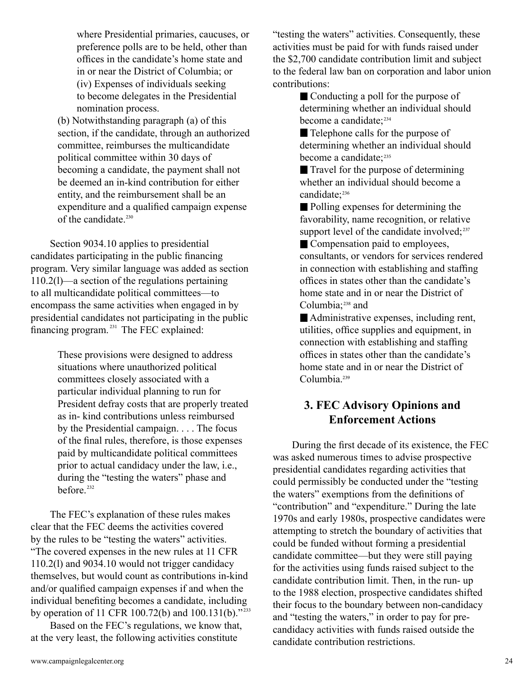where Presidential primaries, caucuses, or preference polls are to be held, other than offices in the candidate's home state and in or near the District of Columbia; or (iv) Expenses of individuals seeking to become delegates in the Presidential nomination process.

(b) Notwithstanding paragraph (a) of this section, if the candidate, through an authorized committee, reimburses the multicandidate political committee within 30 days of becoming a candidate, the payment shall not be deemed an in-kind contribution for either entity, and the reimbursement shall be an expenditure and a qualified campaign expense of the candidate. 230

Section 9034.10 applies to presidential candidates participating in the public financing program. Very similar language was added as section 110.2(l)—a section of the regulations pertaining to all multicandidate political committees—to encompass the same activities when engaged in by presidential candidates not participating in the public financing program. $^{231}$  The FEC explained:

> These provisions were designed to address situations where unauthorized political committees closely associated with a particular individual planning to run for President defray costs that are properly treated as in- kind contributions unless reimbursed by the Presidential campaign. . . . The focus of the final rules, therefore, is those expenses paid by multicandidate political committees prior to actual candidacy under the law, i.e., during the "testing the waters" phase and before. 232

The FEC's explanation of these rules makes clear that the FEC deems the activities covered by the rules to be "testing the waters" activities. "The covered expenses in the new rules at 11 CFR 110.2(l) and 9034.10 would not trigger candidacy themselves, but would count as contributions in-kind and/or qualified campaign expenses if and when the individual benefiting becomes a candidate, including by operation of 11 CFR 100.72(b) and 100.131(b)."<sup>233</sup>

Based on the FEC's regulations, we know that, at the very least, the following activities constitute

"testing the waters" activities. Consequently, these activities must be paid for with funds raised under the \$2,700 candidate contribution limit and subject to the federal law ban on corporation and labor union contributions:

> Conducting a poll for the purpose of determining whether an individual should become a candidate; 234

> Telephone calls for the purpose of determining whether an individual should become a candidate; 235

 Travel for the purpose of determining whether an individual should become a candidate; 236

 Polling expenses for determining the favorability, name recognition, or relative support level of the candidate involved;<sup>237</sup>

 Compensation paid to employees, consultants, or vendors for services rendered in connection with establishing and staffing offices in states other than the candidate's home state and in or near the District of Columbia;<sup>238</sup> and

 Administrative expenses, including rent, utilities, office supplies and equipment, in connection with establishing and staffing offices in states other than the candidate's home state and in or near the District of Columbia. 239

# **3. FEC Advisory Opinions and Enforcement Actions**

During the first decade of its existence, the FEC was asked numerous times to advise prospective presidential candidates regarding activities that could permissibly be conducted under the "testing the waters" exemptions from the definitions of "contribution" and "expenditure." During the late 1970s and early 1980s, prospective candidates were attempting to stretch the boundary of activities that could be funded without forming a presidential candidate committee—but they were still paying for the activities using funds raised subject to the candidate contribution limit. Then, in the run- up to the 1988 election, prospective candidates shifted their focus to the boundary between non-candidacy and "testing the waters," in order to pay for precandidacy activities with funds raised outside the candidate contribution restrictions.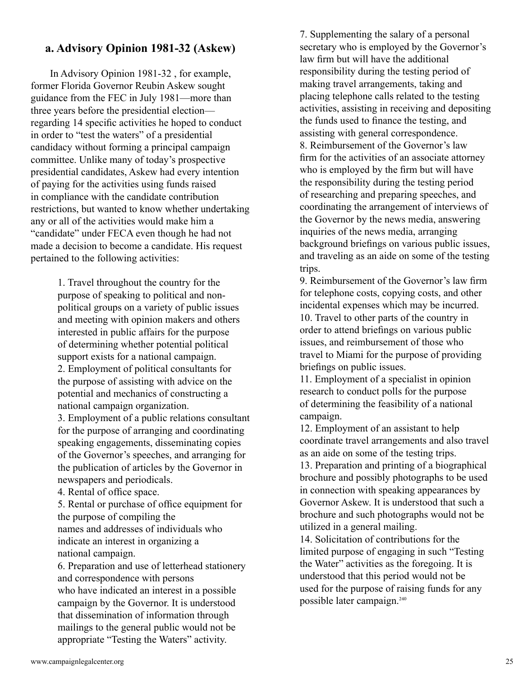# **a. Advisory Opinion 1981-32 (Askew)**

In Advisory Opinion 1981-32 , for example, former Florida Governor Reubin Askew sought guidance from the FEC in July 1981—more than three years before the presidential election regarding 14 specific activities he hoped to conduct in order to "test the waters" of a presidential candidacy without forming a principal campaign committee. Unlike many of today's prospective presidential candidates, Askew had every intention of paying for the activities using funds raised in compliance with the candidate contribution restrictions, but wanted to know whether undertaking any or all of the activities would make him a "candidate" under FECA even though he had not made a decision to become a candidate. His request pertained to the following activities:

> 1. Travel throughout the country for the purpose of speaking to political and nonpolitical groups on a variety of public issues and meeting with opinion makers and others interested in public affairs for the purpose of determining whether potential political support exists for a national campaign. 2. Employment of political consultants for the purpose of assisting with advice on the potential and mechanics of constructing a national campaign organization.

3. Employment of a public relations consultant for the purpose of arranging and coordinating speaking engagements, disseminating copies of the Governor's speeches, and arranging for the publication of articles by the Governor in newspapers and periodicals.

4. Rental of office space.

5. Rental or purchase of office equipment for the purpose of compiling the names and addresses of individuals who indicate an interest in organizing a national campaign.

6. Preparation and use of letterhead stationery and correspondence with persons who have indicated an interest in a possible campaign by the Governor. It is understood that dissemination of information through mailings to the general public would not be appropriate "Testing the Waters" activity.

7. Supplementing the salary of a personal secretary who is employed by the Governor's law firm but will have the additional responsibility during the testing period of making travel arrangements, taking and placing telephone calls related to the testing activities, assisting in receiving and depositing the funds used to finance the testing, and assisting with general correspondence. 8. Reimbursement of the Governor's law firm for the activities of an associate attorney who is employed by the firm but will have the responsibility during the testing period of researching and preparing speeches, and coordinating the arrangement of interviews of the Governor by the news media, answering inquiries of the news media, arranging background briefings on various public issues, and traveling as an aide on some of the testing trips.

9. Reimbursement of the Governor's law firm for telephone costs, copying costs, and other incidental expenses which may be incurred. 10. Travel to other parts of the country in order to attend briefings on various public issues, and reimbursement of those who travel to Miami for the purpose of providing briefings on public issues.

11. Employment of a specialist in opinion research to conduct polls for the purpose of determining the feasibility of a national campaign.

12. Employment of an assistant to help coordinate travel arrangements and also travel as an aide on some of the testing trips.

13. Preparation and printing of a biographical brochure and possibly photographs to be used in connection with speaking appearances by Governor Askew. It is understood that such a brochure and such photographs would not be utilized in a general mailing.

14. Solicitation of contributions for the limited purpose of engaging in such "Testing the Water" activities as the foregoing. It is understood that this period would not be used for the purpose of raising funds for any possible later campaign. 240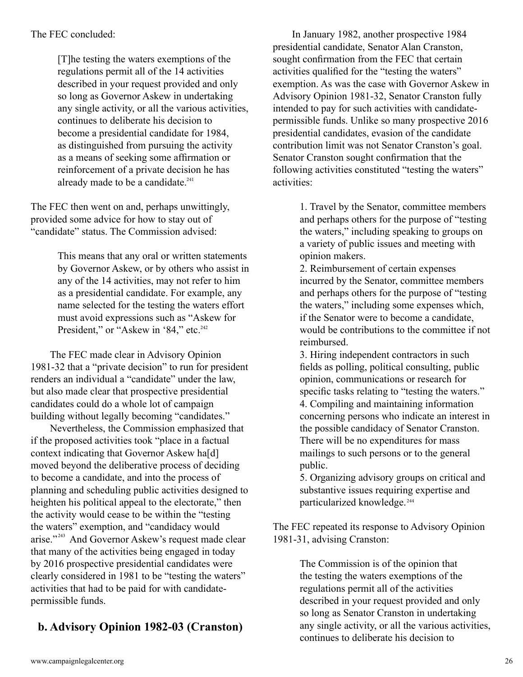## The FEC concluded:

[T]he testing the waters exemptions of the regulations permit all of the 14 activities described in your request provided and only so long as Governor Askew in undertaking any single activity, or all the various activities, continues to deliberate his decision to become a presidential candidate for 1984, as distinguished from pursuing the activity as a means of seeking some affirmation or reinforcement of a private decision he has already made to be a candidate.<sup>241</sup>

The FEC then went on and, perhaps unwittingly, provided some advice for how to stay out of "candidate" status. The Commission advised:

> This means that any oral or written statements by Governor Askew, or by others who assist in any of the 14 activities, may not refer to him as a presidential candidate. For example, any name selected for the testing the waters effort must avoid expressions such as "Askew for President," or "Askew in '84," etc.<sup>242</sup>

The FEC made clear in Advisory Opinion 1981-32 that a "private decision" to run for president renders an individual a "candidate" under the law, but also made clear that prospective presidential candidates could do a whole lot of campaign building without legally becoming "candidates."

Nevertheless, the Commission emphasized that if the proposed activities took "place in a factual context indicating that Governor Askew ha[d] moved beyond the deliberative process of deciding to become a candidate, and into the process of planning and scheduling public activities designed to heighten his political appeal to the electorate," then the activity would cease to be within the "testing the waters" exemption, and "candidacy would arise."<sup>243</sup> And Governor Askew's request made clear that many of the activities being engaged in today by 2016 prospective presidential candidates were clearly considered in 1981 to be "testing the waters" activities that had to be paid for with candidatepermissible funds.

# **b. Advisory Opinion 1982-03 (Cranston)**

In January 1982, another prospective 1984 presidential candidate, Senator Alan Cranston, sought confirmation from the FEC that certain activities qualified for the "testing the waters" exemption. As was the case with Governor Askew in Advisory Opinion 1981-32, Senator Cranston fully intended to pay for such activities with candidatepermissible funds. Unlike so many prospective 2016 presidential candidates, evasion of the candidate contribution limit was not Senator Cranston's goal. Senator Cranston sought confirmation that the following activities constituted "testing the waters" activities:

> 1. Travel by the Senator, committee members and perhaps others for the purpose of "testing the waters," including speaking to groups on a variety of public issues and meeting with opinion makers.

2. Reimbursement of certain expenses incurred by the Senator, committee members and perhaps others for the purpose of "testing the waters," including some expenses which, if the Senator were to become a candidate, would be contributions to the committee if not reimbursed.

3. Hiring independent contractors in such fields as polling, political consulting, public opinion, communications or research for specific tasks relating to "testing the waters." 4. Compiling and maintaining information concerning persons who indicate an interest in the possible candidacy of Senator Cranston. There will be no expenditures for mass mailings to such persons or to the general public.

5. Organizing advisory groups on critical and substantive issues requiring expertise and particularized knowledge. 244

The FEC repeated its response to Advisory Opinion 1981-31, advising Cranston:

> The Commission is of the opinion that the testing the waters exemptions of the regulations permit all of the activities described in your request provided and only so long as Senator Cranston in undertaking any single activity, or all the various activities, continues to deliberate his decision to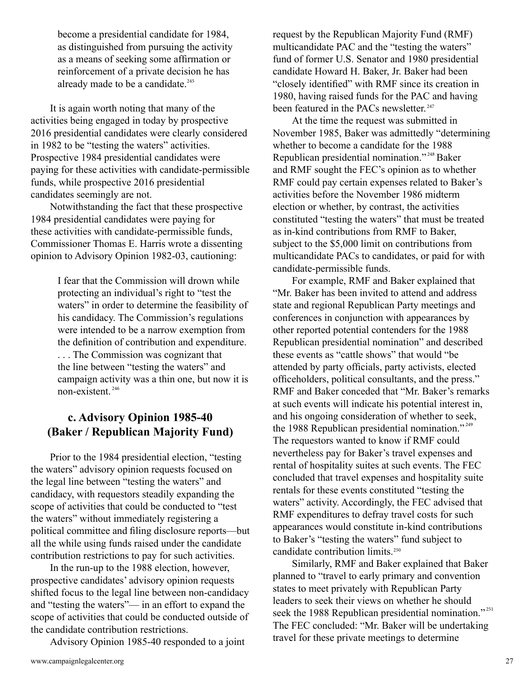become a presidential candidate for 1984, as distinguished from pursuing the activity as a means of seeking some affirmation or reinforcement of a private decision he has already made to be a candidate. 245

It is again worth noting that many of the activities being engaged in today by prospective 2016 presidential candidates were clearly considered in 1982 to be "testing the waters" activities. Prospective 1984 presidential candidates were paying for these activities with candidate-permissible funds, while prospective 2016 presidential candidates seemingly are not.

Notwithstanding the fact that these prospective 1984 presidential candidates were paying for these activities with candidate-permissible funds, Commissioner Thomas E. Harris wrote a dissenting opinion to Advisory Opinion 1982-03, cautioning:

> I fear that the Commission will drown while protecting an individual's right to "test the waters" in order to determine the feasibility of his candidacy. The Commission's regulations were intended to be a narrow exemption from the definition of contribution and expenditure. . . . The Commission was cognizant that the line between "testing the waters" and campaign activity was a thin one, but now it is non-existent. 246

# **c. Advisory Opinion 1985-40 (Baker / Republican Majority Fund)**

Prior to the 1984 presidential election, "testing the waters" advisory opinion requests focused on the legal line between "testing the waters" and candidacy, with requestors steadily expanding the scope of activities that could be conducted to "test the waters" without immediately registering a political committee and filing disclosure reports—but all the while using funds raised under the candidate contribution restrictions to pay for such activities.

In the run-up to the 1988 election, however, prospective candidates' advisory opinion requests shifted focus to the legal line between non-candidacy and "testing the waters"— in an effort to expand the scope of activities that could be conducted outside of the candidate contribution restrictions.

Advisory Opinion 1985-40 responded to a joint

At the time the request was submitted in November 1985, Baker was admittedly "determining whether to become a candidate for the 1988 Republican presidential nomination."<sup>248</sup> Baker and RMF sought the FEC's opinion as to whether RMF could pay certain expenses related to Baker's activities before the November 1986 midterm election or whether, by contrast, the activities constituted "testing the waters" that must be treated as in-kind contributions from RMF to Baker, subject to the \$5,000 limit on contributions from multicandidate PACs to candidates, or paid for with candidate-permissible funds.

For example, RMF and Baker explained that "Mr. Baker has been invited to attend and address state and regional Republican Party meetings and conferences in conjunction with appearances by other reported potential contenders for the 1988 Republican presidential nomination" and described these events as "cattle shows" that would "be attended by party officials, party activists, elected officeholders, political consultants, and the press." RMF and Baker conceded that "Mr. Baker's remarks at such events will indicate his potential interest in, and his ongoing consideration of whether to seek, the 1988 Republican presidential nomination."<sup>249</sup> The requestors wanted to know if RMF could nevertheless pay for Baker's travel expenses and rental of hospitality suites at such events. The FEC concluded that travel expenses and hospitality suite rentals for these events constituted "testing the waters" activity. Accordingly, the FEC advised that RMF expenditures to defray travel costs for such appearances would constitute in-kind contributions to Baker's "testing the waters" fund subject to candidate contribution limits. 250

Similarly, RMF and Baker explained that Baker planned to "travel to early primary and convention states to meet privately with Republican Party leaders to seek their views on whether he should seek the 1988 Republican presidential nomination."<sup>251</sup> The FEC concluded: "Mr. Baker will be undertaking travel for these private meetings to determine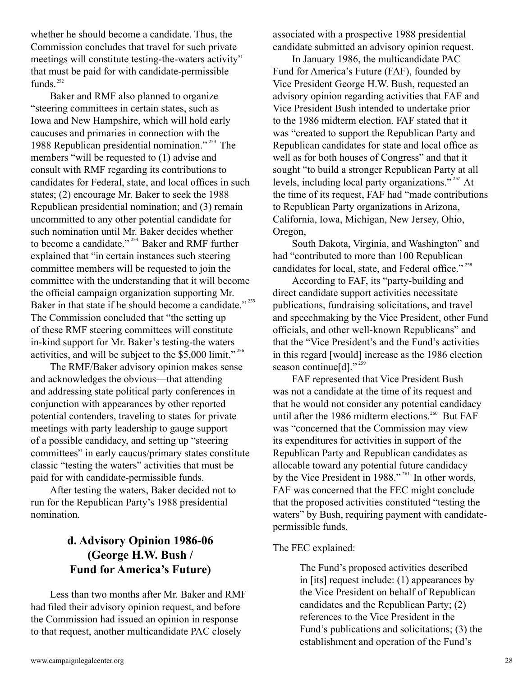whether he should become a candidate. Thus, the Commission concludes that travel for such private meetings will constitute testing-the-waters activity" that must be paid for with candidate-permissible funds. 252

Baker and RMF also planned to organize "steering committees in certain states, such as Iowa and New Hampshire, which will hold early caucuses and primaries in connection with the 1988 Republican presidential nomination."<sup>253</sup> The members "will be requested to (1) advise and consult with RMF regarding its contributions to candidates for Federal, state, and local offices in such states; (2) encourage Mr. Baker to seek the 1988 Republican presidential nomination; and (3) remain uncommitted to any other potential candidate for such nomination until Mr. Baker decides whether to become a candidate."  $254$  Baker and RMF further explained that "in certain instances such steering committee members will be requested to join the committee with the understanding that it will become the official campaign organization supporting Mr. Baker in that state if he should become a candidate."<sup>255</sup> The Commission concluded that "the setting up of these RMF steering committees will constitute in-kind support for Mr. Baker's testing-the waters activities, and will be subject to the \$5,000 limit."<sup>256</sup>

The RMF/Baker advisory opinion makes sense and acknowledges the obvious—that attending and addressing state political party conferences in conjunction with appearances by other reported potential contenders, traveling to states for private meetings with party leadership to gauge support of a possible candidacy, and setting up "steering committees" in early caucus/primary states constitute classic "testing the waters" activities that must be paid for with candidate-permissible funds.

After testing the waters, Baker decided not to run for the Republican Party's 1988 presidential nomination.

# **d. Advisory Opinion 1986-06 (George H.W. Bush / Fund for America's Future)**

Less than two months after Mr. Baker and RMF had filed their advisory opinion request, and before the Commission had issued an opinion in response to that request, another multicandidate PAC closely

associated with a prospective 1988 presidential candidate submitted an advisory opinion request.

In January 1986, the multicandidate PAC Fund for America's Future (FAF), founded by Vice President George H.W. Bush, requested an advisory opinion regarding activities that FAF and Vice President Bush intended to undertake prior to the 1986 midterm election. FAF stated that it was "created to support the Republican Party and Republican candidates for state and local office as well as for both houses of Congress" and that it sought "to build a stronger Republican Party at all levels, including local party organizations."<sup>257</sup> At the time of its request, FAF had "made contributions to Republican Party organizations in Arizona, California, Iowa, Michigan, New Jersey, Ohio, Oregon,

South Dakota, Virginia, and Washington" and had "contributed to more than 100 Republican candidates for local, state, and Federal office."<sup>258</sup>

According to FAF, its "party-building and direct candidate support activities necessitate publications, fundraising solicitations, and travel and speechmaking by the Vice President, other Fund officials, and other well-known Republicans" and that the "Vice President's and the Fund's activities in this regard [would] increase as the 1986 election season continue[d]."<sup>259</sup>

FAF represented that Vice President Bush was not a candidate at the time of its request and that he would not consider any potential candidacy until after the 1986 midterm elections.<sup>260</sup> But FAF was "concerned that the Commission may view its expenditures for activities in support of the Republican Party and Republican candidates as allocable toward any potential future candidacy by the Vice President in  $1988$ ."<sup>261</sup> In other words, FAF was concerned that the FEC might conclude that the proposed activities constituted "testing the waters" by Bush, requiring payment with candidatepermissible funds.

## The FEC explained:

The Fund's proposed activities described in [its] request include: (1) appearances by the Vice President on behalf of Republican candidates and the Republican Party; (2) references to the Vice President in the Fund's publications and solicitations; (3) the establishment and operation of the Fund's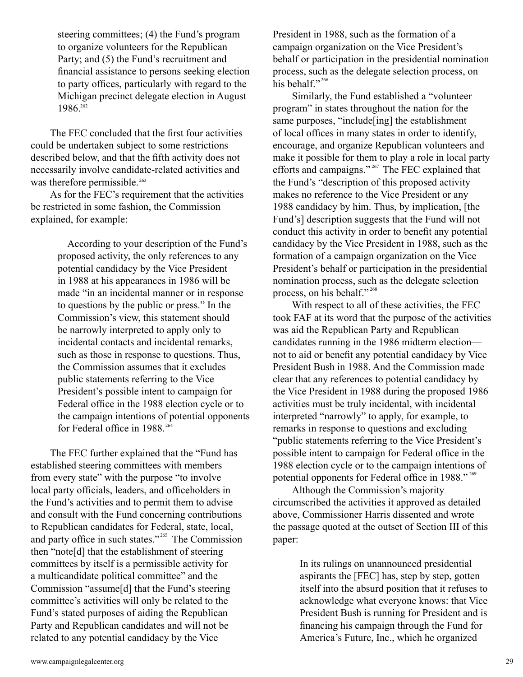steering committees; (4) the Fund's program to organize volunteers for the Republican Party; and (5) the Fund's recruitment and financial assistance to persons seeking election to party offices, particularly with regard to the Michigan precinct delegate election in August 1986. 262

The FEC concluded that the first four activities could be undertaken subject to some restrictions described below, and that the fifth activity does not necessarily involve candidate-related activities and was therefore permissible. 263

As for the FEC's requirement that the activities be restricted in some fashion, the Commission explained, for example:

> According to your description of the Fund's proposed activity, the only references to any potential candidacy by the Vice President in 1988 at his appearances in 1986 will be made "in an incidental manner or in response to questions by the public or press." In the Commission's view, this statement should be narrowly interpreted to apply only to incidental contacts and incidental remarks, such as those in response to questions. Thus, the Commission assumes that it excludes public statements referring to the Vice President's possible intent to campaign for Federal office in the 1988 election cycle or to the campaign intentions of potential opponents for Federal office in 1988. 264

The FEC further explained that the "Fund has established steering committees with members from every state" with the purpose "to involve local party officials, leaders, and officeholders in the Fund's activities and to permit them to advise and consult with the Fund concerning contributions to Republican candidates for Federal, state, local, and party office in such states."<sup>265</sup> The Commission then "note[d] that the establishment of steering committees by itself is a permissible activity for a multicandidate political committee" and the Commission "assume[d] that the Fund's steering committee's activities will only be related to the Fund's stated purposes of aiding the Republican Party and Republican candidates and will not be related to any potential candidacy by the Vice

President in 1988, such as the formation of a campaign organization on the Vice President's behalf or participation in the presidential nomination process, such as the delegate selection process, on his behalf."<sup>266</sup>

Similarly, the Fund established a "volunteer program" in states throughout the nation for the same purposes, "include[ing] the establishment of local offices in many states in order to identify, encourage, and organize Republican volunteers and make it possible for them to play a role in local party efforts and campaigns."<sup>267</sup> The FEC explained that the Fund's "description of this proposed activity makes no reference to the Vice President or any 1988 candidacy by him. Thus, by implication, [the Fund's] description suggests that the Fund will not conduct this activity in order to benefit any potential candidacy by the Vice President in 1988, such as the formation of a campaign organization on the Vice President's behalf or participation in the presidential nomination process, such as the delegate selection process, on his behalf."<sup>268</sup>

With respect to all of these activities, the FEC took FAF at its word that the purpose of the activities was aid the Republican Party and Republican candidates running in the 1986 midterm election not to aid or benefit any potential candidacy by Vice President Bush in 1988. And the Commission made clear that any references to potential candidacy by the Vice President in 1988 during the proposed 1986 activities must be truly incidental, with incidental interpreted "narrowly" to apply, for example, to remarks in response to questions and excluding "public statements referring to the Vice President's possible intent to campaign for Federal office in the 1988 election cycle or to the campaign intentions of potential opponents for Federal office in 1988." 269

Although the Commission's majority circumscribed the activities it approved as detailed above, Commissioner Harris dissented and wrote the passage quoted at the outset of Section III of this paper:

> In its rulings on unannounced presidential aspirants the [FEC] has, step by step, gotten itself into the absurd position that it refuses to acknowledge what everyone knows: that Vice President Bush is running for President and is financing his campaign through the Fund for America's Future, Inc., which he organized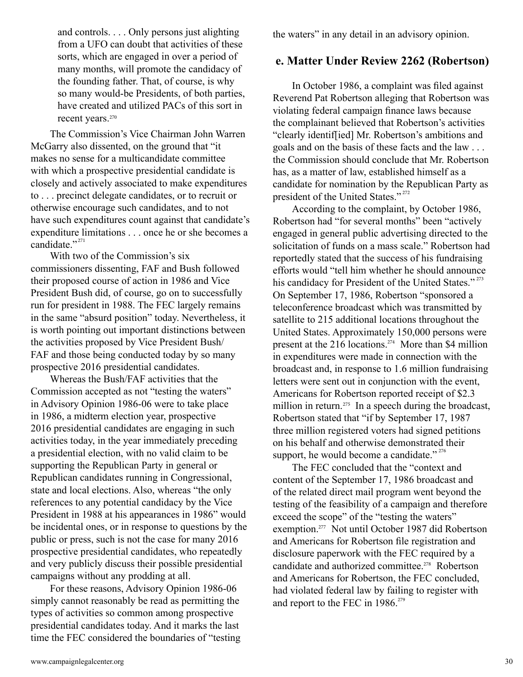and controls. . . . Only persons just alighting from a UFO can doubt that activities of these sorts, which are engaged in over a period of many months, will promote the candidacy of the founding father. That, of course, is why so many would-be Presidents, of both parties, have created and utilized PACs of this sort in recent years. 270

The Commission's Vice Chairman John Warren McGarry also dissented, on the ground that "it makes no sense for a multicandidate committee with which a prospective presidential candidate is closely and actively associated to make expenditures to . . . precinct delegate candidates, or to recruit or otherwise encourage such candidates, and to not have such expenditures count against that candidate's expenditure limitations . . . once he or she becomes a candidate."<sup>271</sup>

With two of the Commission's six commissioners dissenting, FAF and Bush followed their proposed course of action in 1986 and Vice President Bush did, of course, go on to successfully run for president in 1988. The FEC largely remains in the same "absurd position" today. Nevertheless, it is worth pointing out important distinctions between the activities proposed by Vice President Bush/ FAF and those being conducted today by so many prospective 2016 presidential candidates.

Whereas the Bush/FAF activities that the Commission accepted as not "testing the waters" in Advisory Opinion 1986-06 were to take place in 1986, a midterm election year, prospective 2016 presidential candidates are engaging in such activities today, in the year immediately preceding a presidential election, with no valid claim to be supporting the Republican Party in general or Republican candidates running in Congressional, state and local elections. Also, whereas "the only references to any potential candidacy by the Vice President in 1988 at his appearances in 1986" would be incidental ones, or in response to questions by the public or press, such is not the case for many 2016 prospective presidential candidates, who repeatedly and very publicly discuss their possible presidential campaigns without any prodding at all.

For these reasons, Advisory Opinion 1986-06 simply cannot reasonably be read as permitting the types of activities so common among prospective presidential candidates today. And it marks the last time the FEC considered the boundaries of "testing the waters" in any detail in an advisory opinion.

## **e. Matter Under Review 2262 (Robertson)**

In October 1986, a complaint was filed against Reverend Pat Robertson alleging that Robertson was violating federal campaign finance laws because the complainant believed that Robertson's activities "clearly identif[ied] Mr. Robertson's ambitions and goals and on the basis of these facts and the law . . . the Commission should conclude that Mr. Robertson has, as a matter of law, established himself as a candidate for nomination by the Republican Party as president of the United States."<sup>272</sup>

According to the complaint, by October 1986, Robertson had "for several months" been "actively engaged in general public advertising directed to the solicitation of funds on a mass scale." Robertson had reportedly stated that the success of his fundraising efforts would "tell him whether he should announce his candidacy for President of the United States."<sup>273</sup> On September 17, 1986, Robertson "sponsored a teleconference broadcast which was transmitted by satellite to 215 additional locations throughout the United States. Approximately 150,000 persons were present at the 216 locations.<sup> $274$ </sup> More than \$4 million in expenditures were made in connection with the broadcast and, in response to 1.6 million fundraising letters were sent out in conjunction with the event, Americans for Robertson reported receipt of \$2.3 million in return.<sup>275</sup> In a speech during the broadcast, Robertson stated that "if by September 17, 1987 three million registered voters had signed petitions on his behalf and otherwise demonstrated their support, he would become a candidate." $276$ 

The FEC concluded that the "context and content of the September 17, 1986 broadcast and of the related direct mail program went beyond the testing of the feasibility of a campaign and therefore exceed the scope" of the "testing the waters" exemption.<sup>277</sup> Not until October 1987 did Robertson and Americans for Robertson file registration and disclosure paperwork with the FEC required by a candidate and authorized committee.<sup>278</sup> Robertson and Americans for Robertson, the FEC concluded, had violated federal law by failing to register with and report to the FEC in 1986. 279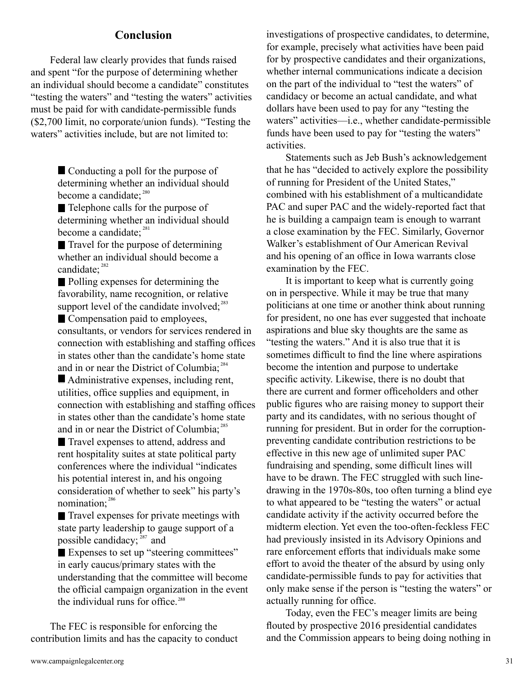## **Conclusion**

Federal law clearly provides that funds raised and spent "for the purpose of determining whether an individual should become a candidate" constitutes "testing the waters" and "testing the waters" activities must be paid for with candidate-permissible funds (\$2,700 limit, no corporate/union funds). "Testing the waters" activities include, but are not limited to:

> Conducting a poll for the purpose of determining whether an individual should become a candidate;<sup>280</sup>

> ■ Telephone calls for the purpose of determining whether an individual should become a candidate;<sup>281</sup>

Travel for the purpose of determining whether an individual should become a candidate;<sup>282</sup>

Polling expenses for determining the favorability, name recognition, or relative support level of the candidate involved;<sup>283</sup>

■ Compensation paid to employees, consultants, or vendors for services rendered in connection with establishing and staffing offices in states other than the candidate's home state and in or near the District of Columbia;<sup>284</sup>

 Administrative expenses, including rent, utilities, office supplies and equipment, in connection with establishing and staffing offices in states other than the candidate's home state and in or near the District of Columbia;<sup>285</sup>

Travel expenses to attend, address and rent hospitality suites at state political party conferences where the individual "indicates his potential interest in, and his ongoing consideration of whether to seek" his party's nomination;<sup>286</sup>

 Travel expenses for private meetings with state party leadership to gauge support of a possible candidacy;  $287$  and

Expenses to set up "steering committees" in early caucus/primary states with the understanding that the committee will become the official campaign organization in the event the individual runs for office.<sup>288</sup>

The FEC is responsible for enforcing the contribution limits and has the capacity to conduct investigations of prospective candidates, to determine, for example, precisely what activities have been paid for by prospective candidates and their organizations, whether internal communications indicate a decision on the part of the individual to "test the waters" of candidacy or become an actual candidate, and what dollars have been used to pay for any "testing the waters" activities—i.e., whether candidate-permissible funds have been used to pay for "testing the waters" activities.

Statements such as Jeb Bush's acknowledgement that he has "decided to actively explore the possibility of running for President of the United States," combined with his establishment of a multicandidate PAC and super PAC and the widely-reported fact that he is building a campaign team is enough to warrant a close examination by the FEC. Similarly, Governor Walker's establishment of Our American Revival and his opening of an office in Iowa warrants close examination by the FEC.

It is important to keep what is currently going on in perspective. While it may be true that many politicians at one time or another think about running for president, no one has ever suggested that inchoate aspirations and blue sky thoughts are the same as "testing the waters." And it is also true that it is sometimes difficult to find the line where aspirations become the intention and purpose to undertake specific activity. Likewise, there is no doubt that there are current and former officeholders and other public figures who are raising money to support their party and its candidates, with no serious thought of running for president. But in order for the corruptionpreventing candidate contribution restrictions to be effective in this new age of unlimited super PAC fundraising and spending, some difficult lines will have to be drawn. The FEC struggled with such linedrawing in the 1970s-80s, too often turning a blind eye to what appeared to be "testing the waters" or actual candidate activity if the activity occurred before the midterm election. Yet even the too-often-feckless FEC had previously insisted in its Advisory Opinions and rare enforcement efforts that individuals make some effort to avoid the theater of the absurd by using only candidate-permissible funds to pay for activities that only make sense if the person is "testing the waters" or actually running for office.

Today, even the FEC's meager limits are being flouted by prospective 2016 presidential candidates and the Commission appears to being doing nothing in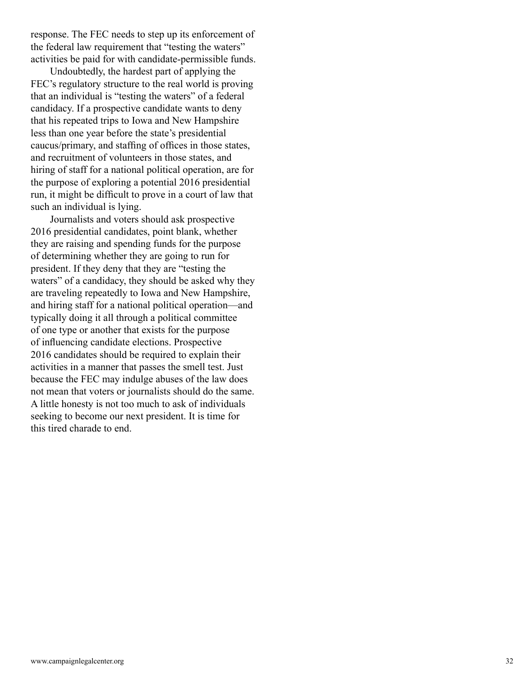response. The FEC needs to step up its enforcement of the federal law requirement that "testing the waters" activities be paid for with candidate-permissible funds.

Undoubtedly, the hardest part of applying the FEC's regulatory structure to the real world is proving that an individual is "testing the waters" of a federal candidacy. If a prospective candidate wants to deny that his repeated trips to Iowa and New Hampshire less than one year before the state's presidential caucus/primary, and staffing of offices in those states, and recruitment of volunteers in those states, and hiring of staff for a national political operation, are for the purpose of exploring a potential 2016 presidential run, it might be difficult to prove in a court of law that such an individual is lying.

Journalists and voters should ask prospective 2016 presidential candidates, point blank, whether they are raising and spending funds for the purpose of determining whether they are going to run for president. If they deny that they are "testing the waters" of a candidacy, they should be asked why they are traveling repeatedly to Iowa and New Hampshire, and hiring staff for a national political operation—and typically doing it all through a political committee of one type or another that exists for the purpose of influencing candidate elections. Prospective 2016 candidates should be required to explain their activities in a manner that passes the smell test. Just because the FEC may indulge abuses of the law does not mean that voters or journalists should do the same. A little honesty is not too much to ask of individuals seeking to become our next president. It is time for this tired charade to end.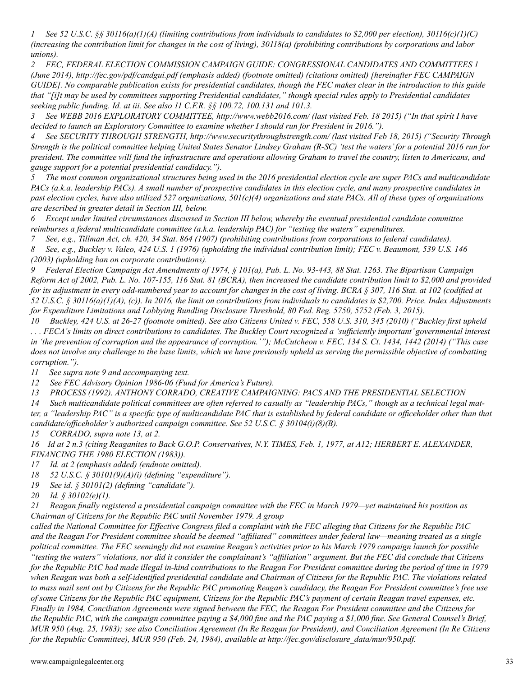*1 See 52 U.S.C. §§ 30116(a)(1)(A) (limiting contributions from individuals to candidates to \$2,000 per election), 30116(c)(1)(C) (increasing the contribution limit for changes in the cost of living), 30118(a) (prohibiting contributions by corporations and labor unions).*

*2 FEC, FEDERAL ELECTION COMMISSION CAMPAIGN GUIDE: CONGRESSIONAL CANDIDATES AND COMMITTEES 1 (June 2014), http://fec.gov/pdf/candgui.pdf (emphasis added) (footnote omitted) (citations omitted) [hereinafter FEC CAMPAIGN GUIDE]. No comparable publication exists for presidential candidates, though the FEC makes clear in the introduction to this guide that "[i]t may be used by committees supporting Presidential candidates," though special rules apply to Presidential candidates seeking public funding. Id. at iii. See also 11 C.F.R. §§ 100.72, 100.131 and 101.3.*

*3 See WEBB 2016 EXPLORATORY COMMITTEE, http://www.webb2016.com/ (last visited Feb. 18 2015) ("In that spirit I have decided to launch an Exploratory Committee to examine whether I should run for President in 2016.").*

*4 See SECURITY THROUGH STRENGTH, http://www.securitythroughstrength.com/ (last visited Feb 18, 2015) ("Security Through Strength is the political committee helping United States Senator Lindsey Graham (R-SC) 'test the waters' for a potential 2016 run for president. The committee will fund the infrastructure and operations allowing Graham to travel the country, listen to Americans, and gauge support for a potential presidential candidacy.").*

*5 The most common organizational structures being used in the 2016 presidential election cycle are super PACs and multicandidate PACs (a.k.a. leadership PACs). A small number of prospective candidates in this election cycle, and many prospective candidates in past election cycles, have also utilized 527 organizations, 501(c)(4) organizations and state PACs. All of these types of organizations are described in greater detail in Section III, below.*

*6 Except under limited circumstances discussed in Section III below, whereby the eventual presidential candidate committee reimburses a federal multicandidate committee (a.k.a. leadership PAC) for "testing the waters" expenditures.*

*7 See, e.g., Tillman Act, ch. 420, 34 Stat. 864 (1907) (prohibiting contributions from corporations to federal candidates).*

*8 See, e.g., Buckley v. Valeo, 424 U.S. 1 (1976) (upholding the individual contribution limit); FEC v. Beaumont, 539 U.S. 146 (2003) (upholding ban on corporate contributions).*

*9 Federal Election Campaign Act Amendments of 1974, § 101(a), Pub. L. No. 93-443, 88 Stat. 1263. The Bipartisan Campaign Reform Act of 2002, Pub. L. No. 107-155, 116 Stat. 81 (BCRA), then increased the candidate contribution limit to \$2,000 and provided for its adjustment in every odd-numbered year to account for changes in the cost of living. BCRA § 307, 116 Stat. at 102 (codified at 52 U.S.C. § 30116(a)(1)(A), (c)). In 2016, the limit on contributions from individuals to candidates is \$2,700. Price. Index Adjustments for Expenditure Limitations and Lobbying Bundling Disclosure Threshold, 80 Fed. Reg. 5750, 5752 (Feb. 3, 2015).*

*10 Buckley, 424 U.S. at 26-27 (footnote omitted). See also Citizens United v. FEC, 558 U.S. 310, 345 (2010) ("Buckley first upheld . . . FECA's limits on direct contributions to candidates. The Buckley Court recognized a 'sufficiently important' governmental interest in 'the prevention of corruption and the appearance of corruption.'"); McCutcheon v. FEC, 134 S. Ct. 1434, 1442 (2014) ("This case does not involve any challenge to the base limits, which we have previously upheld as serving the permissible objective of combatting corruption.").*

*11 See supra note 9 and accompanying text.*

*12 See FEC Advisory Opinion 1986-06 (Fund for America's Future).*

*13 PROCESS (1992). ANTHONY CORRADO, CREATIVE CAMPAIGNING: PACS AND THE PRESIDENTIAL SELECTION*

*14 Such multicandidate political committees are often referred to casually as "leadership PACs," though as a technical legal matter, a "leadership PAC" is a specific type of multicandidate PAC that is established by federal candidate or officeholder other than that candidate/officeholder's authorized campaign committee. See 52 U.S.C. § 30104(i)(8)(B).* 

*15 CORRADO, supra note 13, at 2.*

*16 Id at 2 n.3 (citing Reaganites to Back G.O.P. Conservatives, N.Y. TIMES, Feb. 1, 1977, at A12; HERBERT E. ALEXANDER, FINANCING THE 1980 ELECTION (1983)).*

*17 Id. at 2 (emphasis added) (endnote omitted).*

*18 52 U.S.C. § 30101(9)(A)(i) (defining "expenditure").* 

*19 See id. § 30101(2) (defining "candidate").*

*20 Id. § 30102(e)(1).*

*21 Reagan finally registered a presidential campaign committee with the FEC in March 1979—yet maintained his position as Chairman of Citizens for the Republic PAC until November 1979. A group*

*called the National Committee for Effective Congress filed a complaint with the FEC alleging that Citizens for the Republic PAC and the Reagan For President committee should be deemed "affiliated" committees under federal law—meaning treated as a single political committee. The FEC seemingly did not examine Reagan's activities prior to his March 1979 campaign launch for possible "testing the waters" violations, nor did it consider the complainant's "affiliation" argument. But the FEC did conclude that Citizens for the Republic PAC had made illegal in-kind contributions to the Reagan For President committee during the period of time in 1979 when Reagan was both a self-identified presidential candidate and Chairman of Citizens for the Republic PAC. The violations related to mass mail sent out by Citizens for the Republic PAC promoting Reagan's candidacy, the Reagan For President committee's free use of some Citizens for the Republic PAC equipment, Citizens for the Republic PAC's payment of certain Reagan travel expenses, etc. Finally in 1984, Conciliation Agreements were signed between the FEC, the Reagan For President committee and the Citizens for the Republic PAC, with the campaign committee paying a \$4,000 fine and the PAC paying a \$1,000 fine. See General Counsel's Brief, MUR 950 (Aug. 25, 1983); see also Conciliation Agreement (In Re Reagan for President), and Conciliation Agreement (In Re Citizens for the Republic Committee), MUR 950 (Feb. 24, 1984), available at http://fec.gov/disclosure\_data/mur/950.pdf.*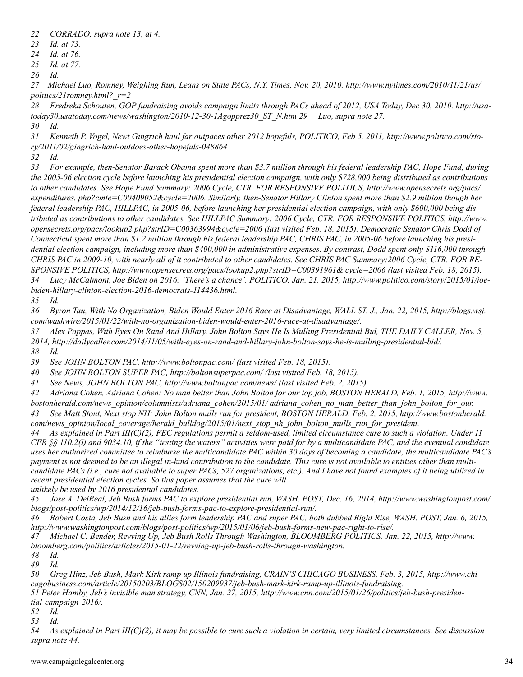- *22 CORRADO, supra note 13, at 4.*
- *23 Id. at 73.*
- *24 Id. at 76.*
- *25 Id. at 77.*
- *26 Id.*

*27 Michael Luo, Romney, Weighing Run, Leans on State PACs, N.Y. Times, Nov. 20, 2010. http://www.nytimes.com/2010/11/21/us/ politics/21romney.html?\_r=2*

*28 Fredreka Schouten, GOP fundraising avoids campaign limits through PACs ahead of 2012, USA Today, Dec 30, 2010. http://usatoday30.usatoday.com/news/washington/2010-12-30-1Agopprez30\_ST\_N.htm 29 Luo, supra note 27. 30 Id.*

*31 Kenneth P. Vogel, Newt Gingrich haul far outpaces other 2012 hopefuls, POLITICO, Feb 5, 2011, http://www.politico.com/story/2011/02/gingrich-haul-outdoes-other-hopefuls-048864*

*32 Id.*

*33 For example, then-Senator Barack Obama spent more than \$3.7 million through his federal leadership PAC, Hope Fund, during the 2005-06 election cycle before launching his presidential election campaign, with only \$728,000 being distributed as contributions to other candidates. See Hope Fund Summary: 2006 Cycle, CTR. FOR RESPONSIVE POLITICS, http://www.opensecrets.org/pacs/ expenditures. php?cmte=C00409052&cycle=2006. Similarly, then-Senator Hillary Clinton spent more than \$2.9 million though her federal leadership PAC, HILLPAC, in 2005-06, before launching her presidential election campaign, with only \$600,000 being distributed as contributions to other candidates. See HILLPAC Summary: 2006 Cycle, CTR. FOR RESPONSIVE POLITICS, http://www. opensecrets.org/pacs/lookup2.php?strID=C00363994&cycle=2006 (last visited Feb. 18, 2015). Democratic Senator Chris Dodd of Connecticut spent more than \$1.2 million through his federal leadership PAC, CHRIS PAC, in 2005-06 before launching his presidential election campaign, including more than \$400,000 in administrative expenses. By contrast, Dodd spent only \$116,000 through CHRIS PAC in 2009-10, with nearly all of it contributed to other candidates. See CHRIS PAC Summary:2006 Cycle, CTR. FOR RE-SPONSIVE POLITICS, http://www.opensecrets.org/pacs/lookup2.php?strID=C00391961& cycle=2006 (last visited Feb. 18, 2015). 34 Lucy McCalmont, Joe Biden on 2016: 'There's a chance', POLITICO, Jan. 21, 2015, http://www.politico.com/story/2015/01/joebiden-hillary-clinton-election-2016-democrats-114436.html.*

*35 Id.*

*36 Byron Tau, With No Organization, Biden Would Enter 2016 Race at Disadvantage, WALL ST. J., Jan. 22, 2015, http://blogs.wsj. com/washwire/2015/01/22/with-no-organization-biden-would-enter-2016-race-at-disadvantage/.*

*37 Alex Pappas, With Eyes On Rand And Hillary, John Bolton Says He Is Mulling Presidential Bid, THE DAILY CALLER, Nov. 5, 2014, http://dailycaller.com/2014/11/05/with-eyes-on-rand-and-hillary-john-bolton-says-he-is-mulling-presidential-bid/.*

*38 Id.*

*39 See JOHN BOLTON PAC, http://www.boltonpac.com/ (last visited Feb. 18, 2015).*

*40 See JOHN BOLTON SUPER PAC, http://boltonsuperpac.com/ (last visited Feb. 18, 2015).*

*41 See News, JOHN BOLTON PAC, http://www.boltonpac.com/news/ (last visited Feb. 2, 2015).*

*42 Adriana Cohen, Adriana Cohen: No man better than John Bolton for our top job, BOSTON HERALD, Feb. 1, 2015, http://www. bostonherald.com/news\_opinion/columnists/adriana\_cohen/2015/01/ adriana\_cohen\_no\_man\_better\_than\_john\_bolton\_for\_our.*

*43 See Matt Stout, Next stop NH: John Bolton mulls run for president, BOSTON HERALD, Feb. 2, 2015, http://www.bostonherald. com/news\_opinion/local\_coverage/herald\_bulldog/2015/01/next\_stop\_nh\_john\_bolton\_mulls\_run\_for\_president.*

*44 As explained in Part III(C)(2), FEC regulations permit a seldom-used, limited circumstance cure to such a violation. Under 11 CFR §§ 110.2(l) and 9034.10, if the "testing the waters" activities were paid for by a multicandidate PAC, and the eventual candidate uses her authorized committee to reimburse the multicandidate PAC within 30 days of becoming a candidate, the multicandidate PAC's payment is not deemed to be an illegal in-kind contribution to the candidate. This cure is not available to entities other than multicandidate PACs (i.e., cure not available to super PACs, 527 organizations, etc.). And I have not found examples of it being utilized in recent presidential election cycles. So this paper assumes that the cure will unlikely be used by 2016 presidential candidates.*

*45 Jose A. DelReal, Jeb Bush forms PAC to explore presidential run, WASH. POST, Dec. 16, 2014, http://www.washingtonpost.com/ blogs/post-politics/wp/2014/12/16/jeb-bush-forms-pac-to-explore-presidential-run/.*

*46 Robert Costa, Jeb Bush and his allies form leadership PAC and super PAC, both dubbed Right Rise, WASH. POST, Jan. 6, 2015, http://www.washingtonpost.com/blogs/post-politics/wp/2015/01/06/jeb-bush-forms-new-pac-right-to-rise/.*

*47 Michael C. Bender, Revving Up, Jeb Bush Rolls Through Washington, BLOOMBERG POLITICS, Jan. 22, 2015, http://www. bloomberg.com/politics/articles/2015-01-22/revving-up-jeb-bush-rolls-through-washington.*

*48 Id.*

*49 Id.*

*50 Greg Hinz, Jeb Bush, Mark Kirk ramp up Illinois fundraising, CRAIN'S CHICAGO BUSINESS, Feb. 3, 2015, http://www.chicagobusiness.com/article/20150203/BLOGS02/150209937/jeb-bush-mark-kirk-ramp-up-illinois-fundraising. 51 Peter Hamby, Jeb's invisible man strategy, CNN, Jan. 27, 2015, http://www.cnn.com/2015/01/26/politics/jeb-bush-presidential-campaign-2016/.*

*52 Id.*

*53 Id.*

*54 As explained in Part III(C)(2), it may be possible to cure such a violation in certain, very limited circumstances. See discussion supra note 44.*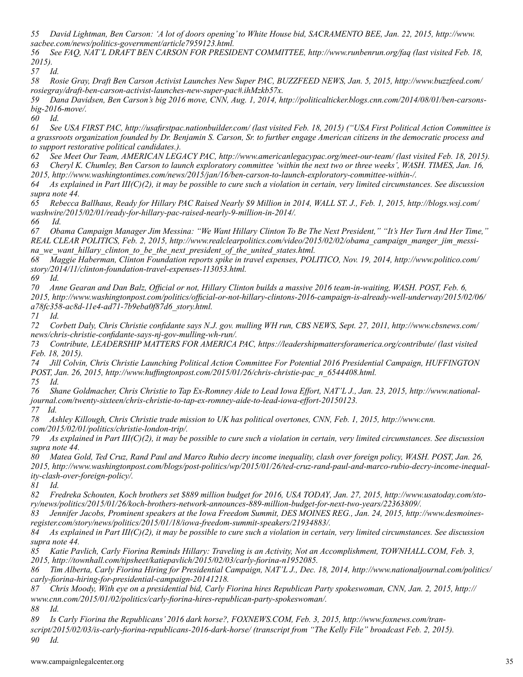*55 David Lightman, Ben Carson: 'A lot of doors opening' to White House bid, SACRAMENTO BEE, Jan. 22, 2015, http://www. sacbee.com/news/politics-government/article7959123.html.*

*56 See FAQ, NAT'L DRAFT BEN CARSON FOR PRESIDENT COMMITTEE, http://www.runbenrun.org/faq (last visited Feb. 18, 2015).*

*57 Id.*

*58 Rosie Gray, Draft Ben Carson Activist Launches New Super PAC, BUZZFEED NEWS, Jan. 5, 2015, http://www.buzzfeed.com/ rosiegray/draft-ben-carson-activist-launches-new-super-pac#.ihMzkb57x.*

*59 Dana Davidsen, Ben Carson's big 2016 move, CNN, Aug. 1, 2014, http://politicalticker.blogs.cnn.com/2014/08/01/ben-carsonsbig-2016-move/.*

*60 Id.*

*61 See USA FIRST PAC, http://usafirstpac.nationbuilder.com/ (last visited Feb. 18, 2015) ("USA First Political Action Committee is a grassroots organization founded by Dr. Benjamin S. Carson, Sr. to further engage American citizens in the democratic process and to support restorative political candidates.).*

*62 See Meet Our Team, AMERICAN LEGACY PAC, http://www.americanlegacypac.org/meet-our-team/ (last visited Feb. 18, 2015).*

*63 Cheryl K. Chumley, Ben Carson to launch exploratory committee 'within the next two or three weeks', WASH. TIMES, Jan. 16,* 

*2015, http://www.washingtontimes.com/news/2015/jan/16/ben-carson-to-launch-exploratory-committee-within-/.*

*64 As explained in Part III(C)(2), it may be possible to cure such a violation in certain, very limited circumstances. See discussion supra note 44.*

*65 Rebecca Ballhaus, Ready for Hillary PAC Raised Nearly \$9 Million in 2014, WALL ST. J., Feb. 1, 2015, http://blogs.wsj.com/ washwire/2015/02/01/ready-for-hillary-pac-raised-nearly-9-million-in-2014/.*

*66 Id.*

*67 Obama Campaign Manager Jim Messina: "We Want Hillary Clinton To Be The Next President," "It's Her Turn And Her Time," REAL CLEAR POLITICS, Feb. 2, 2015, http://www.realclearpolitics.com/video/2015/02/02/obama\_campaign\_manger\_jim\_messina\_we\_want\_hillary\_clinton\_to\_be\_the\_next\_president\_of\_the\_united\_states.html.*

*68 Maggie Haberman, Clinton Foundation reports spike in travel expenses, POLITICO, Nov. 19, 2014, http://www.politico.com/ story/2014/11/clinton-foundation-travel-expenses-113053.html.*

*69 Id.*

*70 Anne Gearan and Dan Balz, Official or not, Hillary Clinton builds a massive 2016 team-in-waiting, WASH. POST, Feb. 6, 2015, http://www.washingtonpost.com/politics/official-or-not-hillary-clintons-2016-campaign-is-already-well-underway/2015/02/06/ a78fc358-ac8d-11e4-ad71-7b9eba0f87d6\_story.html.*

*71 Id.*

*72 Corbett Daly, Chris Christie confidante says N.J. gov. mulling WH run, CBS NEWS, Sept. 27, 2011, http://www.cbsnews.com/ news/chris-christie-confidante-says-nj-gov-mulling-wh-run/.*

*73 Contribute, LEADERSHIP MATTERS FOR AMERICA PAC, https://leadershipmattersforamerica.org/contribute/ (last visited Feb. 18, 2015).*

*74 Jill Colvin, Chris Christie Launching Political Action Committee For Potential 2016 Presidential Campaign, HUFFINGTON POST, Jan. 26, 2015, http://www.huffingtonpost.com/2015/01/26/chris-christie-pac\_n\_6544408.html. 75 Id.*

*76 Shane Goldmacher, Chris Christie to Tap Ex-Romney Aide to Lead Iowa Effort, NAT'L J., Jan. 23, 2015, http://www.nationaljournal.com/twenty-sixteen/chris-christie-to-tap-ex-romney-aide-to-lead-iowa-effort-20150123. 77 Id.*

*78 Ashley Killough, Chris Christie trade mission to UK has political overtones, CNN, Feb. 1, 2015, http://www.cnn. com/2015/02/01/politics/christie-london-trip/.*

*79 As explained in Part III(C)(2), it may be possible to cure such a violation in certain, very limited circumstances. See discussion supra note 44.*

*80 Matea Gold, Ted Cruz, Rand Paul and Marco Rubio decry income inequality, clash over foreign policy, WASH. POST, Jan. 26, 2015, http://www.washingtonpost.com/blogs/post-politics/wp/2015/01/26/ted-cruz-rand-paul-and-marco-rubio-decry-income-inequality-clash-over-foreign-policy/.*

*81 Id.*

*82 Fredreka Schouten, Koch brothers set \$889 million budget for 2016, USA TODAY, Jan. 27, 2015, http://www.usatoday.com/story/news/politics/2015/01/26/koch-brothers-network-announces-889-million-budget-for-next-two-years/22363809/.*

*83 Jennifer Jacobs, Prominent speakers at the Iowa Freedom Summit, DES MOINES REG., Jan. 24, 2015, http://www.desmoinesregister.com/story/news/politics/2015/01/18/iowa-freedom-summit-speakers/21934883/.*

*84 As explained in Part III(C)(2), it may be possible to cure such a violation in certain, very limited circumstances. See discussion supra note 44.*

*85 Katie Pavlich, Carly Fiorina Reminds Hillary: Traveling is an Activity, Not an Accomplishment, TOWNHALL.COM, Feb. 3, 2015, http://townhall.com/tipsheet/katiepavlich/2015/02/03/carly-fiorina-n1952085.*

*86 Tim Alberta, Carly Fiorina Hiring for Presidential Campaign, NAT'L J., Dec. 18, 2014, http://www.nationaljournal.com/politics/ carly-fiorina-hiring-for-presidential-campaign-20141218.*

*87 Chris Moody, With eye on a presidential bid, Carly Fiorina hires Republican Party spokeswoman, CNN, Jan. 2, 2015, http:// www.cnn.com/2015/01/02/politics/carly-fiorina-hires-republican-party-spokeswoman/.*

*88 Id.*

*89 Is Carly Fiorina the Republicans' 2016 dark horse?, FOXNEWS.COM, Feb. 3, 2015, http://www.foxnews.com/transcript/2015/02/03/is-carly-fiorina-republicans-2016-dark-horse/ (transcript from "The Kelly File" broadcast Feb. 2, 2015). 90 Id.*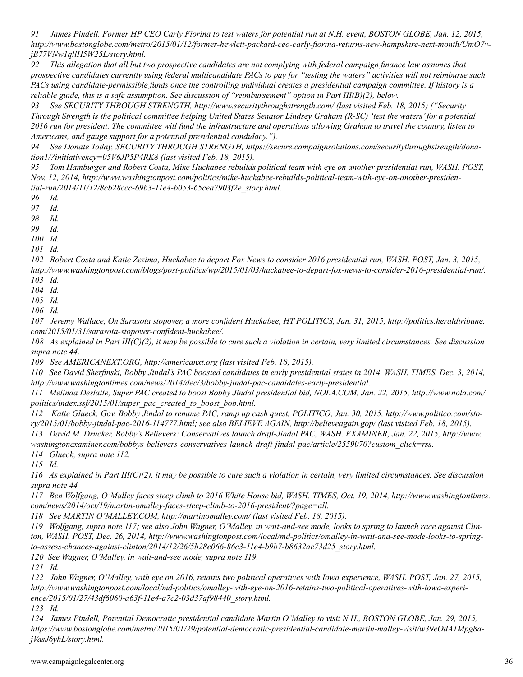*91 James Pindell, Former HP CEO Carly Fiorina to test waters for potential run at N.H. event, BOSTON GLOBE, Jan. 12, 2015, http://www.bostonglobe.com/metro/2015/01/12/former-hewlett-packard-ceo-carly-fiorina-returns-new-hampshire-next-month/UmO7vjB77VNw1qllH5W25L/story.html.*

*92 This allegation that all but two prospective candidates are not complying with federal campaign finance law assumes that prospective candidates currently using federal multicandidate PACs to pay for "testing the waters" activities will not reimburse such PACs using candidate-permissible funds once the controlling individual creates a presidential campaign committee. If history is a reliable guide, this is a safe assumption. See discussion of "reimbursement" option in Part III(B)(2), below.*

*93 See SECURITY THROUGH STRENGTH, http://www.securitythroughstrength.com/ (last visited Feb. 18, 2015) ("Security Through Strength is the political committee helping United States Senator Lindsey Graham (R-SC) 'test the waters' for a potential 2016 run for president. The committee will fund the infrastructure and operations allowing Graham to travel the country, listen to Americans, and gauge support for a potential presidential candidacy.").* 

*94 See Donate Today, SECURITY THROUGH STRENGTH, https://secure.campaignsolutions.com/securitythroughstrength/donation1/?initiativekey=05V6JP5P4RK8 (last visited Feb. 18, 2015).*

*95 Tom Hamburger and Robert Costa, Mike Huckabee rebuilds political team with eye on another presidential run, WASH. POST, Nov. 12, 2014, http://www.washingtonpost.com/politics/mike-huckabee-rebuilds-political-team-with-eye-on-another-presidential-run/2014/11/12/8cb28ccc-69b3-11e4-b053-65cea7903f2e\_story.html.*

*96 Id.*

*97 Id.*

*98 Id.*

*99 Id.*

*100 Id.*

*101 Id.*

*102 Robert Costa and Katie Zezima, Huckabee to depart Fox News to consider 2016 presidential run, WASH. POST, Jan. 3, 2015, http://www.washingtonpost.com/blogs/post-politics/wp/2015/01/03/huckabee-to-depart-fox-news-to-consider-2016-presidential-run/. 103 Id.*

*104 Id.*

*105 Id.*

*106 Id.*

*107 Jeremy Wallace, On Sarasota stopover, a more confident Huckabee, HT POLITICS, Jan. 31, 2015, http://politics.heraldtribune. com/2015/01/31/sarasota-stopover-confident-huckabee/.*

*108 As explained in Part III(C)(2), it may be possible to cure such a violation in certain, very limited circumstances. See discussion supra note 44.*

*109 See AMERICANEXT.ORG, http://americanxt.org (last visited Feb. 18, 2015).*

*110 See David Sherfinski, Bobby Jindal's PAC boosted candidates in early presidential states in 2014, WASH. TIMES, Dec. 3, 2014, http://www.washingtontimes.com/news/2014/dec/3/bobby-jindal-pac-candidates-early-presidential.*

*111 Melinda Deslatte, Super PAC created to boost Bobby Jindal presidential bid, NOLA.COM, Jan. 22, 2015, http://www.nola.com/ politics/index.ssf/2015/01/super\_pac\_created\_to\_boost\_bob.html.*

*112 Katie Glueck, Gov. Bobby Jindal to rename PAC, ramp up cash quest, POLITICO, Jan. 30, 2015, http://www.politico.com/story/2015/01/bobby-jindal-pac-2016-114777.html; see also BELIEVE AGAIN, http://believeagain.gop/ (last visited Feb. 18, 2015).*

*113 David M. Drucker, Bobby's Believers: Conservatives launch draft-Jindal PAC, WASH. EXAMINER, Jan. 22, 2015, http://www. washingtonexaminer.com/bobbys-believers-conservatives-launch-draft-jindal-pac/article/2559070?custom\_click=rss.*

*114 Glueck, supra note 112.* 

*115 Id.*

*116 As explained in Part III(C)(2), it may be possible to cure such a violation in certain, very limited circumstances. See discussion supra note 44*

*117 Ben Wolfgang, O'Malley faces steep climb to 2016 White House bid, WASH. TIMES, Oct. 19, 2014, http://www.washingtontimes. com/news/2014/oct/19/martin-omalley-faces-steep-climb-to-2016-president/?page=all.*

*118 See MARTIN O'MALLEY.COM, http://martinomalley.com/ (last visited Feb. 18, 2015).*

*119 Wolfgang, supra note 117; see also John Wagner, O'Malley, in wait-and-see mode, looks to spring to launch race against Clinton, WASH. POST, Dec. 26, 2014, http://www.washingtonpost.com/local/md-politics/omalley-in-wait-and-see-mode-looks-to-springto-assess-chances-against-clinton/2014/12/26/5b28e066-86c3-11e4-b9b7-b8632ae73d25\_story.html.*

*120 See Wagner, O'Malley, in wait-and-see mode, supra note 119.*

*121 Id.*

*122 John Wagner, O'Malley, with eye on 2016, retains two political operatives with Iowa experience, WASH. POST, Jan. 27, 2015, http://www.washingtonpost.com/local/md-politics/omalley-with-eye-on-2016-retains-two-political-operatives-with-iowa-experience/2015/01/27/43df6060-a63f-11e4-a7c2-03d37af98440\_story.html.*

*123 Id.*

*124 James Pindell, Potential Democratic presidential candidate Martin O'Malley to visit N.H., BOSTON GLOBE, Jan. 29, 2015, https://www.bostonglobe.com/metro/2015/01/29/potential-democratic-presidential-candidate-martin-malley-visit/w39eOdA1Mpg8ajVasJ6yhL/story.html.*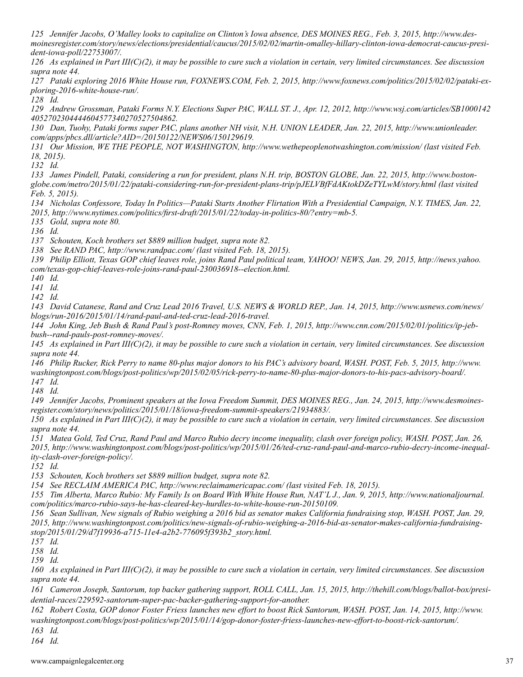*125 Jennifer Jacobs, O'Malley looks to capitalize on Clinton's Iowa absence, DES MOINES REG., Feb. 3, 2015, http://www.desmoinesregister.com/story/news/elections/presidential/caucus/2015/02/02/martin-omalley-hillary-clinton-iowa-democrat-caucus-president-iowa-poll/22753007/.*

*126 As explained in Part III(C)(2), it may be possible to cure such a violation in certain, very limited circumstances. See discussion supra note 44.*

*127 Pataki exploring 2016 White House run, FOXNEWS.COM, Feb. 2, 2015, http://www.foxnews.com/politics/2015/02/02/pataki-exploring-2016-white-house-run/.*

*128 Id.*

*129 Andrew Grossman, Pataki Forms N.Y. Elections Super PAC, WALL ST. J., Apr. 12, 2012, http://www.wsj.com/articles/SB1000142 4052702304444604577340270527504862.*

*130 Dan, Tuohy, Pataki forms super PAC, plans another NH visit, N.H. UNION LEADER, Jan. 22, 2015, http://www.unionleader. com/apps/pbcs.dll/article?AID=/20150122/NEWS06/150129619.*

*131 Our Mission, WE THE PEOPLE, NOT WASHINGTON, http://www.wethepeoplenotwashington.com/mission/ (last visited Feb. 18, 2015).*

*132 Id.*

*133 James Pindell, Pataki, considering a run for president, plans N.H. trip, BOSTON GLOBE, Jan. 22, 2015, http://www.bostonglobe.com/metro/2015/01/22/pataki-considering-run-for-president-plans-trip/pJELVBfFdAKtokDZeTYLwM/story.html (last visited Feb. 5, 2015).*

*134 Nicholas Confessore, Today In Politics—Pataki Starts Another Flirtation With a Presidential Campaign, N.Y. TIMES, Jan. 22, 2015, http://www.nytimes.com/politics/first-draft/2015/01/22/today-in-politics-80/?entry=mb-5.*

*135 Gold, supra note 80.* 

*136 Id.*

*137 Schouten, Koch brothers set \$889 million budget, supra note 82.*

*138 See RAND PAC, http://www.randpac.com/ (last visited Feb. 18, 2015).*

*139 Philip Elliott, Texas GOP chief leaves role, joins Rand Paul political team, YAHOO! NEWS, Jan. 29, 2015, http://news.yahoo. com/texas-gop-chief-leaves-role-joins-rand-paul-230036918--election.html.*

*140 Id.*

*141 Id.*

*142 Id.*

*143 David Catanese, Rand and Cruz Lead 2016 Travel, U.S. NEWS & WORLD REP., Jan. 14, 2015, http://www.usnews.com/news/ blogs/run-2016/2015/01/14/rand-paul-and-ted-cruz-lead-2016-travel.*

*144 John King, Jeb Bush & Rand Paul's post-Romney moves, CNN, Feb. 1, 2015, http://www.cnn.com/2015/02/01/politics/ip-jebbush--rand-pauls-post-romney-moves/.*

*145 As explained in Part III(C)(2), it may be possible to cure such a violation in certain, very limited circumstances. See discussion supra note 44.*

*146 Philip Rucker, Rick Perry to name 80-plus major donors to his PAC's advisory board, WASH. POST, Feb. 5, 2015, http://www. washingtonpost.com/blogs/post-politics/wp/2015/02/05/rick-perry-to-name-80-plus-major-donors-to-his-pacs-advisory-board/. 147 Id.*

*148 Id.*

*149 Jennifer Jacobs, Prominent speakers at the Iowa Freedom Summit, DES MOINES REG., Jan. 24, 2015, http://www.desmoinesregister.com/story/news/politics/2015/01/18/iowa-freedom-summit-speakers/21934883/.*

*150 As explained in Part III(C)(2), it may be possible to cure such a violation in certain, very limited circumstances. See discussion supra note 44.*

*151 Matea Gold, Ted Cruz, Rand Paul and Marco Rubio decry income inequality, clash over foreign policy, WASH. POST, Jan. 26, 2015, http://www.washingtonpost.com/blogs/post-politics/wp/2015/01/26/ted-cruz-rand-paul-and-marco-rubio-decry-income-inequality-clash-over-foreign-policy/.*

*152 Id.*

*153 Schouten, Koch brothers set \$889 million budget, supra note 82.*

*154 See RECLAIM AMERICA PAC, http://www.reclaimamericapac.com/ (last visited Feb. 18, 2015).*

*155 Tim Alberta, Marco Rubio: My Family Is on Board With White House Run, NAT'L J., Jan. 9, 2015, http://www.nationaljournal. com/politics/marco-rubio-says-he-has-cleared-key-hurdles-to-white-house-run-20150109.*

*156 Sean Sullivan, New signals of Rubio weighing a 2016 bid as senator makes California fundraising stop, WASH. POST, Jan. 29, 2015, http://www.washingtonpost.com/politics/new-signals-of-rubio-weighing-a-2016-bid-as-senator-makes-california-fundraisingstop/2015/01/29/d7f19936-a715-11e4-a2b2-776095f393b2\_story.html.*

*157 Id.*

*158 Id.*

*159 Id.*

*160 As explained in Part III(C)(2), it may be possible to cure such a violation in certain, very limited circumstances. See discussion supra note 44.*

*161 Cameron Joseph, Santorum, top backer gathering support, ROLL CALL, Jan. 15, 2015, http://thehill.com/blogs/ballot-box/presidential-races/229592-santorum-super-pac-backer-gathering-support-for-another.*

*162 Robert Costa, GOP donor Foster Friess launches new effort to boost Rick Santorum, WASH. POST, Jan. 14, 2015, http://www. washingtonpost.com/blogs/post-politics/wp/2015/01/14/gop-donor-foster-friess-launches-new-effort-to-boost-rick-santorum/. 163 Id.*

*164 Id.*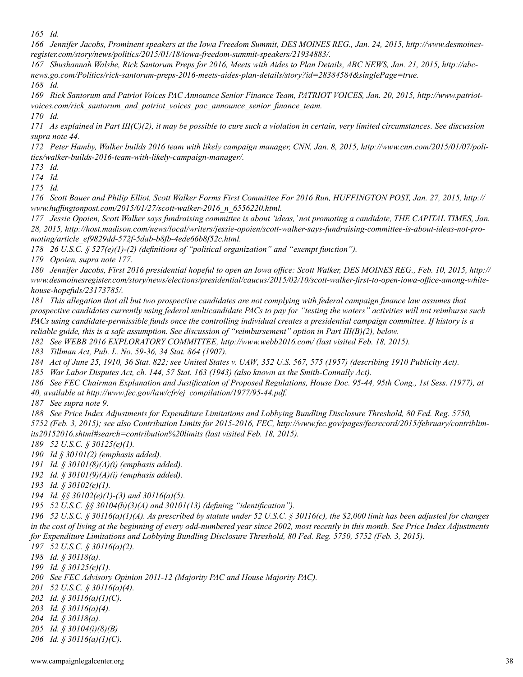*165 Id.*

*166 Jennifer Jacobs, Prominent speakers at the Iowa Freedom Summit, DES MOINES REG., Jan. 24, 2015, http://www.desmoinesregister.com/story/news/politics/2015/01/18/iowa-freedom-summit-speakers/21934883/.*

*167 Shushannah Walshe, Rick Santorum Preps for 2016, Meets with Aides to Plan Details, ABC NEWS, Jan. 21, 2015, http://abcnews.go.com/Politics/rick-santorum-preps-2016-meets-aides-plan-details/story?id=28384584&singlePage=true. 168 Id.*

*169 Rick Santorum and Patriot Voices PAC Announce Senior Finance Team, PATRIOT VOICES, Jan. 20, 2015, http://www.patriotvoices.com/rick\_santorum\_and\_patriot\_voices\_pac\_announce\_senior\_finance\_team.*

*170 Id.*

*171 As explained in Part III(C)(2), it may be possible to cure such a violation in certain, very limited circumstances. See discussion supra note 44.*

*172 Peter Hamby, Walker builds 2016 team with likely campaign manager, CNN, Jan. 8, 2015, http://www.cnn.com/2015/01/07/politics/walker-builds-2016-team-with-likely-campaign-manager/.*

*173 Id.*

*174 Id.*

*175 Id.*

*176 Scott Bauer and Philip Elliot, Scott Walker Forms First Committee For 2016 Run, HUFFINGTON POST, Jan. 27, 2015, http:// www.huffingtonpost.com/2015/01/27/scott-walker-2016\_n\_6556220.html.*

*177 Jessie Opoien, Scott Walker says fundraising committee is about 'ideas,' not promoting a candidate, THE CAPITAL TIMES, Jan. 28, 2015, http://host.madison.com/news/local/writers/jessie-opoien/scott-walker-says-fundraising-committee-is-about-ideas-not-promoting/article\_ef9829dd-572f-5dab-b8fb-4ede66b8f52c.html.*

*178 26 U.S.C. § 527(e)(1)-(2) (definitions of "political organization" and "exempt function").*

*179 Opoien, supra note 177.*

*180 Jennifer Jacobs, First 2016 presidential hopeful to open an Iowa office: Scott Walker, DES MOINES REG., Feb. 10, 2015, http:// www.desmoinesregister.com/story/news/elections/presidential/caucus/2015/02/10/scott-walker-first-to-open-iowa-office-among-whitehouse-hopefuls/23173785/.*

*181 This allegation that all but two prospective candidates are not complying with federal campaign finance law assumes that prospective candidates currently using federal multicandidate PACs to pay for "testing the waters" activities will not reimburse such PACs using candidate-permissible funds once the controlling individual creates a presidential campaign committee. If history is a reliable guide, this is a safe assumption. See discussion of "reimbursement" option in Part III(B)(2), below.*

*182 See WEBB 2016 EXPLORATORY COMMITTEE, http://www.webb2016.com/ (last visited Feb. 18, 2015).*

*183 Tillman Act, Pub. L. No. 59-36, 34 Stat. 864 (1907).*

*184 Act of June 25, 1910, 36 Stat. 822; see United States v. UAW, 352 U.S. 567, 575 (1957) (describing 1910 Publicity Act).*

*185 War Labor Disputes Act, ch. 144, 57 Stat. 163 (1943) (also known as the Smith-Connally Act).*

*186 See FEC Chairman Explanation and Justification of Proposed Regulations, House Doc. 95-44, 95th Cong., 1st Sess. (1977), at 40, available at http://www.fec.gov/law/cfr/ej\_compilation/1977/95-44.pdf.*

*187 See supra note 9.*

*188 See Price Index Adjustments for Expenditure Limitations and Lobbying Bundling Disclosure Threshold, 80 Fed. Reg. 5750, 5752 (Feb. 3, 2015); see also Contribution Limits for 2015-2016, FEC, http://www.fec.gov/pages/fecrecord/2015/february/contriblimits20152016.shtml#search=contribution%20limits (last visited Feb. 18, 2015).*

*189 52 U.S.C. § 30125(e)(1).*

*190 Id § 30101(2) (emphasis added).*

*191 Id. § 30101(8)(A)(i) (emphasis added).*

*192 Id. § 30101(9)(A)(i) (emphasis added).*

*193 Id. § 30102(e)(1).*

*194 Id. §§ 30102(e)(1)-(3) and 30116(a)(5).*

*195 52 U.S.C. §§ 30104(b)(3)(A) and 30101(13) (defining "identification").*

*196 52 U.S.C. § 30116(a)(1)(A). As prescribed by statute under 52 U.S.C. § 30116(c), the \$2,000 limit has been adjusted for changes in the cost of living at the beginning of every odd-numbered year since 2002, most recently in this month. See Price Index Adjustments for Expenditure Limitations and Lobbying Bundling Disclosure Threshold, 80 Fed. Reg. 5750, 5752 (Feb. 3, 2015).* 

*197 52 U.S.C. § 30116(a)(2).*

*198 Id. § 30118(a).*

*199 Id. § 30125(e)(1).*

*200 See FEC Advisory Opinion 2011-12 (Majority PAC and House Majority PAC).*

*201 52 U.S.C. § 30116(a)(4).*

*202 Id. § 30116(a)(1)(C).*

*203 Id. § 30116(a)(4).*

*204 Id. § 30118(a).*

*205 Id. § 30104(i)(8)(B)*

*206 Id. § 30116(a)(1)(C).*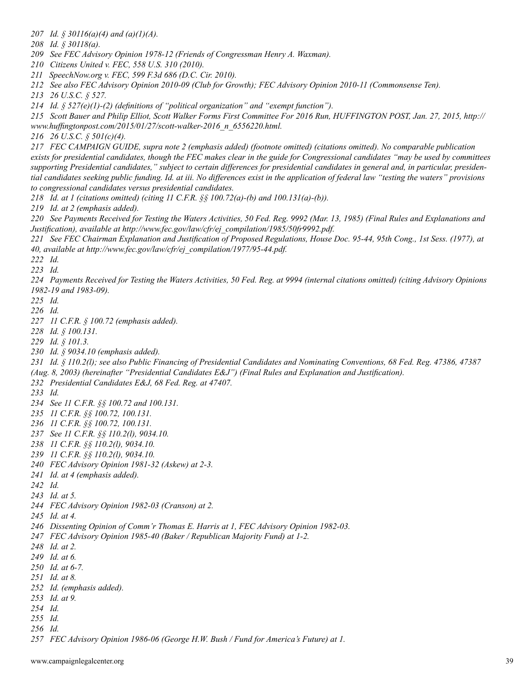*207 Id. § 30116(a)(4) and (a)(1)(A).*

*208 Id. § 30118(a).*

*209 See FEC Advisory Opinion 1978-12 (Friends of Congressman Henry A. Waxman).*

*210 Citizens United v. FEC, 558 U.S. 310 (2010).*

*211 SpeechNow.org v. FEC, 599 F.3d 686 (D.C. Cir. 2010).*

*212 See also FEC Advisory Opinion 2010-09 (Club for Growth); FEC Advisory Opinion 2010-11 (Commonsense Ten).*

*213 26 U.S.C. § 527.*

*214 Id. § 527(e)(1)-(2) (definitions of "political organization" and "exempt function").*

*215 Scott Bauer and Philip Elliot, Scott Walker Forms First Committee For 2016 Run, HUFFINGTON POST, Jan. 27, 2015, http://*

*www.huffingtonpost.com/2015/01/27/scott-walker-2016\_n\_6556220.html.*

*216 26 U.S.C. § 501(c)(4).*

*217 FEC CAMPAIGN GUIDE, supra note 2 (emphasis added) (footnote omitted) (citations omitted). No comparable publication exists for presidential candidates, though the FEC makes clear in the guide for Congressional candidates "may be used by committees supporting Presidential candidates," subject to certain differences for presidential candidates in general and, in particular, presidential candidates seeking public funding. Id. at iii. No differences exist in the application of federal law "testing the waters" provisions to congressional candidates versus presidential candidates.*

*218 Id. at 1 (citations omitted) (citing 11 C.F.R. §§ 100.72(a)-(b) and 100.131(a)-(b)).*

*219 Id. at 2 (emphasis added).*

*220 See Payments Received for Testing the Waters Activities, 50 Fed. Reg. 9992 (Mar. 13, 1985) (Final Rules and Explanations and Justification), available at http://www.fec.gov/law/cfr/ej\_compilation/1985/50fr9992.pdf.*

*221 See FEC Chairman Explanation and Justification of Proposed Regulations, House Doc. 95-44, 95th Cong., 1st Sess. (1977), at 40, available at http://www.fec.gov/law/cfr/ej\_compilation/1977/95-44.pdf.*

*222 Id.*

*223 Id.*

*224 Payments Received for Testing the Waters Activities, 50 Fed. Reg. at 9994 (internal citations omitted) (citing Advisory Opinions 1982-19 and 1983-09).* 

*225 Id.*

*226 Id.*

*227 11 C.F.R. § 100.72 (emphasis added).*

*228 Id. § 100.131.*

*229 Id. § 101.3.*

*230 Id. § 9034.10 (emphasis added).*

*231 Id. § 110.2(l); see also Public Financing of Presidential Candidates and Nominating Conventions, 68 Fed. Reg. 47386, 47387 (Aug. 8, 2003) (hereinafter "Presidential Candidates E&J") (Final Rules and Explanation and Justification).*

- *232 Presidential Candidates E&J, 68 Fed. Reg. at 47407.*
- *233 Id.*
- *234 See 11 C.F.R. §§ 100.72 and 100.131.*
- *235 11 C.F.R. §§ 100.72, 100.131.*
- *236 11 C.F.R. §§ 100.72, 100.131.*
- *237 See 11 C.F.R. §§ 110.2(l), 9034.10.*
- *238 11 C.F.R. §§ 110.2(l), 9034.10.*
- *239 11 C.F.R. §§ 110.2(l), 9034.10.*
- *240 FEC Advisory Opinion 1981-32 (Askew) at 2-3.*
- *241 Id. at 4 (emphasis added).*
- *242 Id.*
- *243 Id. at 5.*
- *244 FEC Advisory Opinion 1982-03 (Cranson) at 2.*
- *245 Id. at 4.*
- *246 Dissenting Opinion of Comm'r Thomas E. Harris at 1, FEC Advisory Opinion 1982-03.*
- *247 FEC Advisory Opinion 1985-40 (Baker / Republican Majority Fund) at 1-2.*
- *248 Id. at 2.*
- *249 Id. at 6.*
- *250 Id. at 6-7.*
- *251 Id. at 8.*
- *252 Id. (emphasis added).*
- *253 Id. at 9.*
- *254 Id.*
- *255 Id.*
- *256 Id.*
- *257 FEC Advisory Opinion 1986-06 (George H.W. Bush / Fund for America's Future) at 1.*